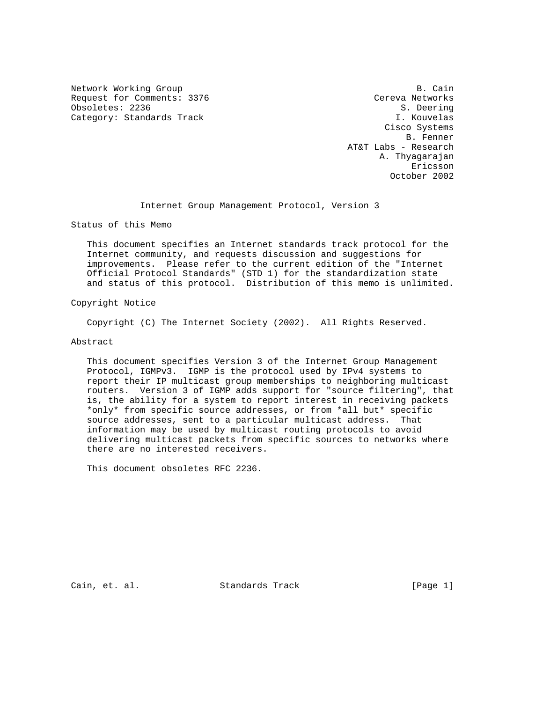Network Working Group B. Cain Request for Comments: 3376 Cereva Networks<br>
Obsoletes: 2236 S. Deering Obsoletes: 2236 Category: Standards Track I. Kouvelas

 Cisco Systems B. Fenner AT&T Labs - Research A. Thyagarajan eric and the contract of the contract of the contract of the contract of the contract of the contract of the contract of the contract of the contract of the contract of the contract of the contract of the contract of the c October 2002

Internet Group Management Protocol, Version 3

Status of this Memo

 This document specifies an Internet standards track protocol for the Internet community, and requests discussion and suggestions for improvements. Please refer to the current edition of the "Internet Official Protocol Standards" (STD 1) for the standardization state and status of this protocol. Distribution of this memo is unlimited.

Copyright Notice

Copyright (C) The Internet Society (2002). All Rights Reserved.

Abstract

 This document specifies Version 3 of the Internet Group Management Protocol, IGMPv3. IGMP is the protocol used by IPv4 systems to report their IP multicast group memberships to neighboring multicast routers. Version 3 of IGMP adds support for "source filtering", that is, the ability for a system to report interest in receiving packets \*only\* from specific source addresses, or from \*all but\* specific source addresses, sent to a particular multicast address. That information may be used by multicast routing protocols to avoid delivering multicast packets from specific sources to networks where there are no interested receivers.

This document obsoletes RFC 2236.

Cain, et. al. Standards Track [Page 1]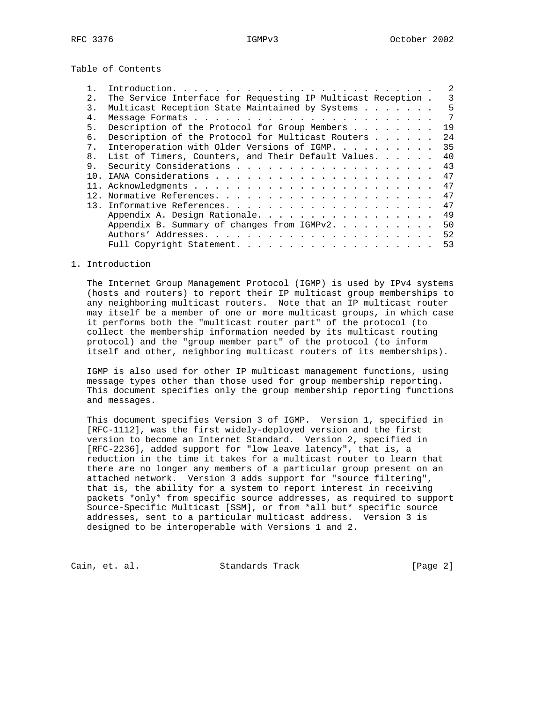Table of Contents

| 2.             | The Service Interface for Requesting IP Multicast Reception. | 3  |
|----------------|--------------------------------------------------------------|----|
| 3.             | Multicast Reception State Maintained by Systems              | 5  |
| $4$ .          |                                                              | 7  |
| 5.             | Description of the Protocol for Group Members                | 19 |
| б.             | Description of the Protocol for Multicast Routers            | 24 |
| 7 <sub>1</sub> | Interoperation with Older Versions of IGMP.                  | 35 |
| 8 <sub>1</sub> | List of Timers, Counters, and Their Default Values.          | 40 |
| 9.             |                                                              | 43 |
| 1 N            |                                                              | 47 |
|                |                                                              | 47 |
|                |                                                              | 47 |
|                |                                                              | 47 |
|                | Appendix A. Design Rationale.                                | 49 |
|                | Appendix B. Summary of changes from IGMPv2.                  | 50 |
|                |                                                              | 52 |
|                |                                                              | 53 |

## 1. Introduction

 The Internet Group Management Protocol (IGMP) is used by IPv4 systems (hosts and routers) to report their IP multicast group memberships to any neighboring multicast routers. Note that an IP multicast router may itself be a member of one or more multicast groups, in which case it performs both the "multicast router part" of the protocol (to collect the membership information needed by its multicast routing protocol) and the "group member part" of the protocol (to inform itself and other, neighboring multicast routers of its memberships).

 IGMP is also used for other IP multicast management functions, using message types other than those used for group membership reporting. This document specifies only the group membership reporting functions and messages.

 This document specifies Version 3 of IGMP. Version 1, specified in [RFC-1112], was the first widely-deployed version and the first version to become an Internet Standard. Version 2, specified in [RFC-2236], added support for "low leave latency", that is, a reduction in the time it takes for a multicast router to learn that there are no longer any members of a particular group present on an attached network. Version 3 adds support for "source filtering", that is, the ability for a system to report interest in receiving packets \*only\* from specific source addresses, as required to support Source-Specific Multicast [SSM], or from \*all but\* specific source addresses, sent to a particular multicast address. Version 3 is designed to be interoperable with Versions 1 and 2.

Cain, et. al. Standards Track [Page 2]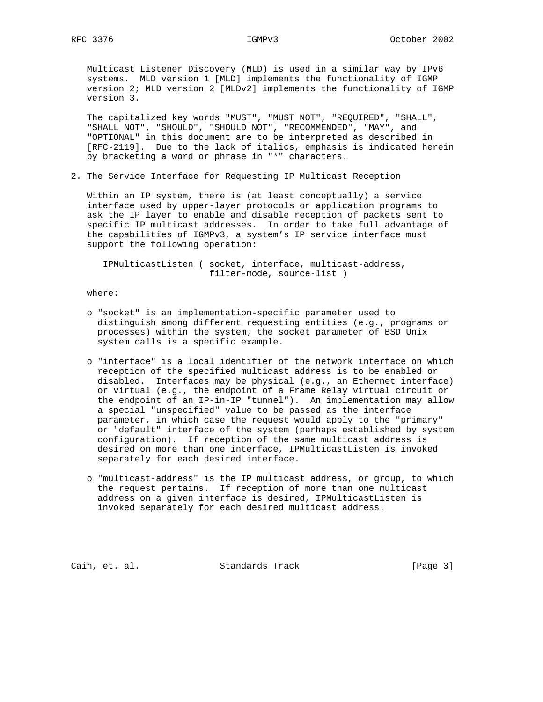Multicast Listener Discovery (MLD) is used in a similar way by IPv6 systems. MLD version 1 [MLD] implements the functionality of IGMP version 2; MLD version 2 [MLDv2] implements the functionality of IGMP version 3.

 The capitalized key words "MUST", "MUST NOT", "REQUIRED", "SHALL", "SHALL NOT", "SHOULD", "SHOULD NOT", "RECOMMENDED", "MAY", and "OPTIONAL" in this document are to be interpreted as described in [RFC-2119]. Due to the lack of italics, emphasis is indicated herein by bracketing a word or phrase in "\*" characters.

2. The Service Interface for Requesting IP Multicast Reception

 Within an IP system, there is (at least conceptually) a service interface used by upper-layer protocols or application programs to ask the IP layer to enable and disable reception of packets sent to specific IP multicast addresses. In order to take full advantage of the capabilities of IGMPv3, a system's IP service interface must support the following operation:

 IPMulticastListen ( socket, interface, multicast-address, filter-mode, source-list )

where:

- o "socket" is an implementation-specific parameter used to distinguish among different requesting entities (e.g., programs or processes) within the system; the socket parameter of BSD Unix system calls is a specific example.
- o "interface" is a local identifier of the network interface on which reception of the specified multicast address is to be enabled or disabled. Interfaces may be physical (e.g., an Ethernet interface) or virtual (e.g., the endpoint of a Frame Relay virtual circuit or the endpoint of an IP-in-IP "tunnel"). An implementation may allow a special "unspecified" value to be passed as the interface parameter, in which case the request would apply to the "primary" or "default" interface of the system (perhaps established by system configuration). If reception of the same multicast address is desired on more than one interface, IPMulticastListen is invoked separately for each desired interface.
- o "multicast-address" is the IP multicast address, or group, to which the request pertains. If reception of more than one multicast address on a given interface is desired, IPMulticastListen is invoked separately for each desired multicast address.

Cain, et. al. Standards Track [Page 3]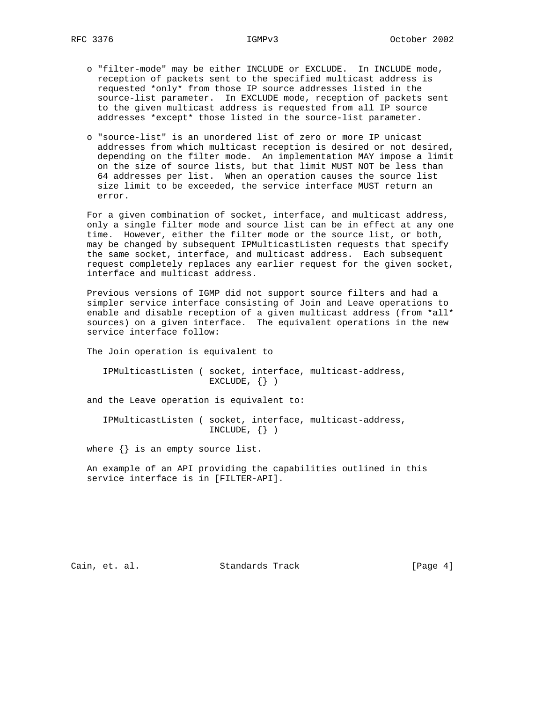- o "filter-mode" may be either INCLUDE or EXCLUDE. In INCLUDE mode, reception of packets sent to the specified multicast address is requested \*only\* from those IP source addresses listed in the source-list parameter. In EXCLUDE mode, reception of packets sent to the given multicast address is requested from all IP source addresses \*except\* those listed in the source-list parameter.
- o "source-list" is an unordered list of zero or more IP unicast addresses from which multicast reception is desired or not desired, depending on the filter mode. An implementation MAY impose a limit on the size of source lists, but that limit MUST NOT be less than 64 addresses per list. When an operation causes the source list size limit to be exceeded, the service interface MUST return an error.

 For a given combination of socket, interface, and multicast address, only a single filter mode and source list can be in effect at any one time. However, either the filter mode or the source list, or both, may be changed by subsequent IPMulticastListen requests that specify the same socket, interface, and multicast address. Each subsequent request completely replaces any earlier request for the given socket, interface and multicast address.

 Previous versions of IGMP did not support source filters and had a simpler service interface consisting of Join and Leave operations to enable and disable reception of a given multicast address (from \*all\* sources) on a given interface. The equivalent operations in the new service interface follow:

The Join operation is equivalent to

 IPMulticastListen ( socket, interface, multicast-address, EXCLUDE,  $\{\}$ )

and the Leave operation is equivalent to:

 IPMulticastListen ( socket, interface, multicast-address, INCLUDE,  $\{\}$  )

where  $\{\}$  is an empty source list.

 An example of an API providing the capabilities outlined in this service interface is in [FILTER-API].

Cain, et. al. Standards Track [Page 4]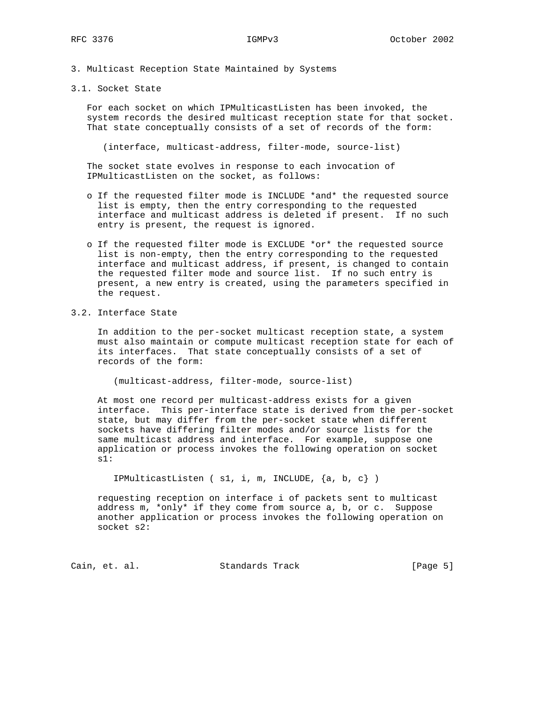- 3. Multicast Reception State Maintained by Systems
- 3.1. Socket State

 For each socket on which IPMulticastListen has been invoked, the system records the desired multicast reception state for that socket. That state conceptually consists of a set of records of the form:

(interface, multicast-address, filter-mode, source-list)

 The socket state evolves in response to each invocation of IPMulticastListen on the socket, as follows:

- o If the requested filter mode is INCLUDE \*and\* the requested source list is empty, then the entry corresponding to the requested interface and multicast address is deleted if present. If no such entry is present, the request is ignored.
- o If the requested filter mode is EXCLUDE \*or\* the requested source list is non-empty, then the entry corresponding to the requested interface and multicast address, if present, is changed to contain the requested filter mode and source list. If no such entry is present, a new entry is created, using the parameters specified in the request.
- 3.2. Interface State

 In addition to the per-socket multicast reception state, a system must also maintain or compute multicast reception state for each of its interfaces. That state conceptually consists of a set of records of the form:

(multicast-address, filter-mode, source-list)

 At most one record per multicast-address exists for a given interface. This per-interface state is derived from the per-socket state, but may differ from the per-socket state when different sockets have differing filter modes and/or source lists for the same multicast address and interface. For example, suppose one application or process invokes the following operation on socket s1:

```
 IPMulticastListen ( s1, i, m, INCLUDE, {a, b, c} )
```
 requesting reception on interface i of packets sent to multicast address m, \*only\* if they come from source a, b, or c. Suppose another application or process invokes the following operation on socket s2:

Cain, et. al. Standards Track [Page 5]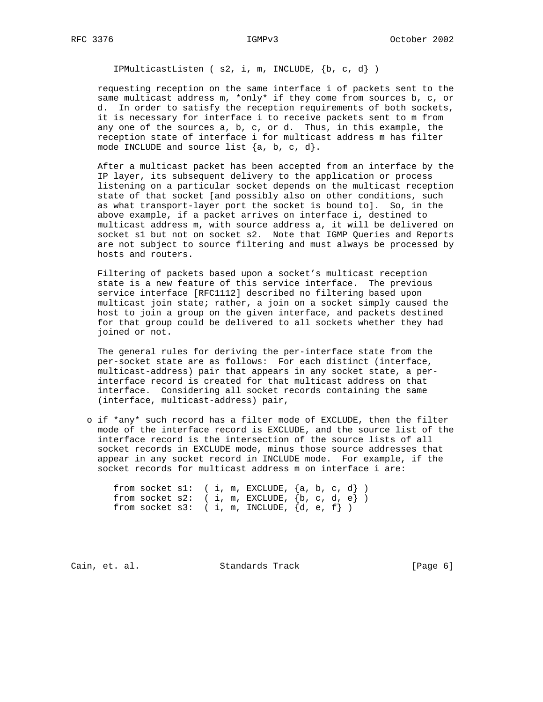IPMulticastListen ( s2, i, m, INCLUDE, {b, c, d} )

 requesting reception on the same interface i of packets sent to the same multicast address m, \*only\* if they come from sources b, c, or d. In order to satisfy the reception requirements of both sockets, it is necessary for interface i to receive packets sent to m from any one of the sources a, b, c, or d. Thus, in this example, the reception state of interface i for multicast address m has filter mode INCLUDE and source list  $\{a, b, c, d\}$ .

 After a multicast packet has been accepted from an interface by the IP layer, its subsequent delivery to the application or process listening on a particular socket depends on the multicast reception state of that socket [and possibly also on other conditions, such as what transport-layer port the socket is bound to]. So, in the above example, if a packet arrives on interface i, destined to multicast address m, with source address a, it will be delivered on socket s1 but not on socket s2. Note that IGMP Queries and Reports are not subject to source filtering and must always be processed by hosts and routers.

 Filtering of packets based upon a socket's multicast reception state is a new feature of this service interface. The previous service interface [RFC1112] described no filtering based upon multicast join state; rather, a join on a socket simply caused the host to join a group on the given interface, and packets destined for that group could be delivered to all sockets whether they had joined or not.

 The general rules for deriving the per-interface state from the per-socket state are as follows: For each distinct (interface, multicast-address) pair that appears in any socket state, a per interface record is created for that multicast address on that interface. Considering all socket records containing the same (interface, multicast-address) pair,

 o if \*any\* such record has a filter mode of EXCLUDE, then the filter mode of the interface record is EXCLUDE, and the source list of the interface record is the intersection of the source lists of all socket records in EXCLUDE mode, minus those source addresses that appear in any socket record in INCLUDE mode. For example, if the socket records for multicast address m on interface i are:

|  |  |  | from socket s1: $(i, m, EXCLUDE, {a, b, c, d})$   |  |  |  |
|--|--|--|---------------------------------------------------|--|--|--|
|  |  |  | from socket s2: $(i, m, EXCLUDE, \{b, c, d, e\})$ |  |  |  |
|  |  |  | from socket s3: $(i, m, INCLUDE, {d, e, f})$      |  |  |  |

Cain, et. al. Standards Track [Page 6]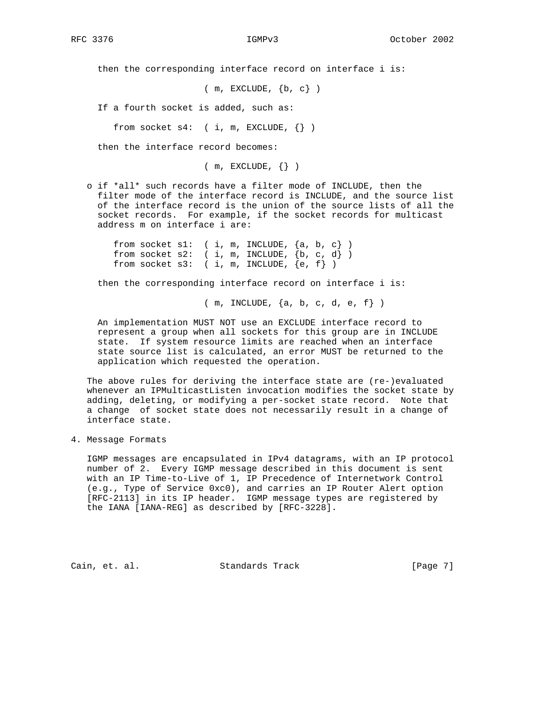then the corresponding interface record on interface i is:

 $(m, EXCLUDE, \{b, c\})$ 

If a fourth socket is added, such as:

from socket  $s4:$  ( i, m, EXCLUDE,  $\{\}\)$ 

then the interface record becomes:

 $(m, EXCLUDE, \{\})$ 

 o if \*all\* such records have a filter mode of INCLUDE, then the filter mode of the interface record is INCLUDE, and the source list of the interface record is the union of the source lists of all the socket records. For example, if the socket records for multicast address m on interface i are:

from socket s1:  $(i, m, INCLUDE, {a, b, c})$ from socket  $s2:$  ( i, m, INCLUDE,  $\{b, c, d\}$  ) from socket  $s3:$  ( i, m, INCLUDE,  $\{e, f\}$  )

then the corresponding interface record on interface i is:

( m, INCLUDE, {a, b, c, d, e, f} )

 An implementation MUST NOT use an EXCLUDE interface record to represent a group when all sockets for this group are in INCLUDE state. If system resource limits are reached when an interface state source list is calculated, an error MUST be returned to the application which requested the operation.

 The above rules for deriving the interface state are (re-)evaluated whenever an IPMulticastListen invocation modifies the socket state by adding, deleting, or modifying a per-socket state record. Note that a change of socket state does not necessarily result in a change of interface state.

4. Message Formats

 IGMP messages are encapsulated in IPv4 datagrams, with an IP protocol number of 2. Every IGMP message described in this document is sent with an IP Time-to-Live of 1, IP Precedence of Internetwork Control (e.g., Type of Service 0xc0), and carries an IP Router Alert option [RFC-2113] in its IP header. IGMP message types are registered by the IANA [IANA-REG] as described by [RFC-3228].

Cain, et. al. Standards Track [Page 7]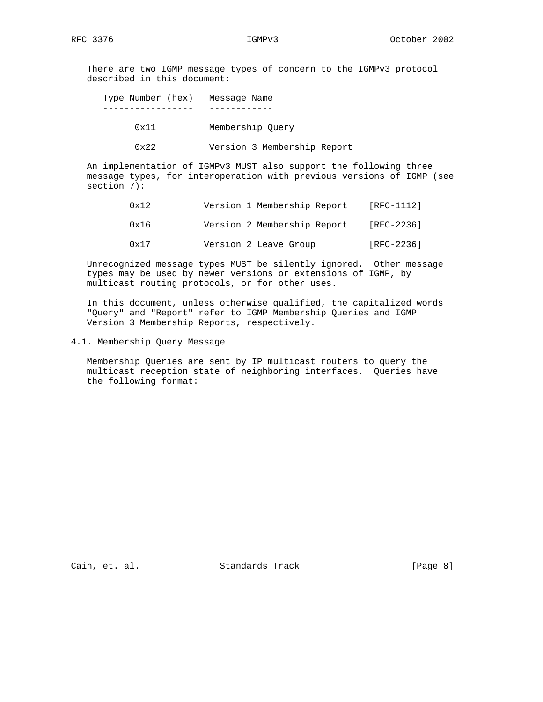There are two IGMP message types of concern to the IGMPv3 protocol described in this document:

 Type Number (hex) Message Name ----------------- ------------

- 0x11 Membership Query
- 0x22 Version 3 Membership Report

 An implementation of IGMPv3 MUST also support the following three message types, for interoperation with previous versions of IGMP (see section 7):

- 0x12 Version 1 Membership Report [RFC-1112]
- 0x16 Version 2 Membership Report [RFC-2236]
- 0x17 Version 2 Leave Group [RFC-2236]

 Unrecognized message types MUST be silently ignored. Other message types may be used by newer versions or extensions of IGMP, by multicast routing protocols, or for other uses.

 In this document, unless otherwise qualified, the capitalized words "Query" and "Report" refer to IGMP Membership Queries and IGMP Version 3 Membership Reports, respectively.

4.1. Membership Query Message

 Membership Queries are sent by IP multicast routers to query the multicast reception state of neighboring interfaces. Queries have the following format:

Cain, et. al. Standards Track [Page 8]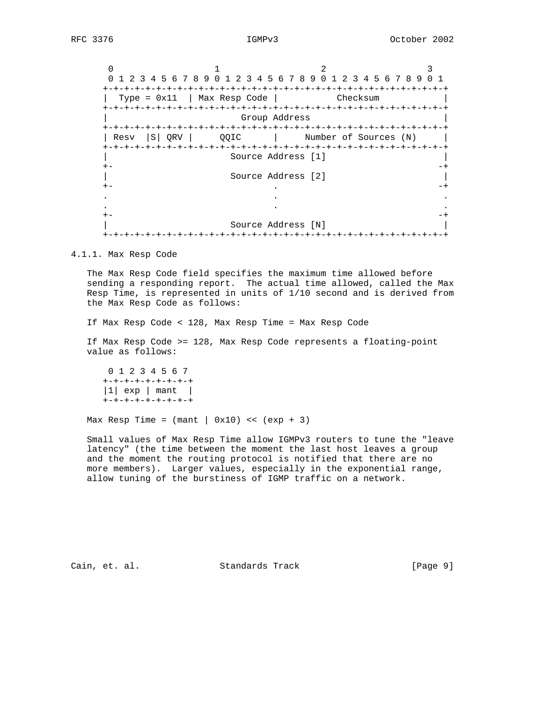$\begin{array}{ccc} 0 & 1 & 2 & 3 \end{array}$  0 1 2 3 4 5 6 7 8 9 0 1 2 3 4 5 6 7 8 9 0 1 2 3 4 5 6 7 8 9 0 1 +-+-+-+-+-+-+-+-+-+-+-+-+-+-+-+-+-+-+-+-+-+-+-+-+-+-+-+-+-+-+-+-+ | Type = 0x11 | Max Resp Code | Checksum | +-+-+-+-+-+-+-+-+-+-+-+-+-+-+-+-+-+-+-+-+-+-+-+-+-+-+-+-+-+-+-+-+ | Group Address | +-+-+-+-+-+-+-+-+-+-+-+-+-+-+-+-+-+-+-+-+-+-+-+-+-+-+-+-+-+-+-+-+ | Resv |S| QRV | QQIC | Number of Sources (N) +-+-+-+-+-+-+-+-+-+-+-+-+-+-+-+-+-+-+-+-+-+-+-+-+-+-+-+-+-+-+-+-+ | Source Address [1] | +- -+ | Source Address [2] | +- . -+ . . . . . . +- -+ | Source Address [N] | +-+-+-+-+-+-+-+-+-+-+-+-+-+-+-+-+-+-+-+-+-+-+-+-+-+-+-+-+-+-+-+-+

### 4.1.1. Max Resp Code

 The Max Resp Code field specifies the maximum time allowed before sending a responding report. The actual time allowed, called the Max Resp Time, is represented in units of 1/10 second and is derived from the Max Resp Code as follows:

If Max Resp Code < 128, Max Resp Time = Max Resp Code

 If Max Resp Code >= 128, Max Resp Code represents a floating-point value as follows:

 0 1 2 3 4 5 6 7 +-+-+-+-+-+-+-+-+  $|1|$  exp | mant | +-+-+-+-+-+-+-+-+

Max Resp Time =  $(\text{mant} | 0x10)$  <<  $(\text{exp} + 3)$ 

 Small values of Max Resp Time allow IGMPv3 routers to tune the "leave latency" (the time between the moment the last host leaves a group and the moment the routing protocol is notified that there are no more members). Larger values, especially in the exponential range, allow tuning of the burstiness of IGMP traffic on a network.

Cain, et. al. Standards Track [Page 9]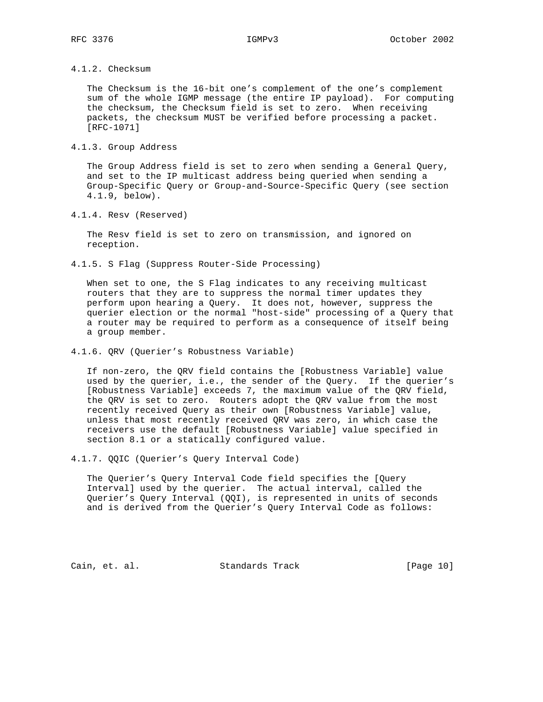4.1.2. Checksum

 The Checksum is the 16-bit one's complement of the one's complement sum of the whole IGMP message (the entire IP payload). For computing the checksum, the Checksum field is set to zero. When receiving packets, the checksum MUST be verified before processing a packet. [RFC-1071]

4.1.3. Group Address

 The Group Address field is set to zero when sending a General Query, and set to the IP multicast address being queried when sending a Group-Specific Query or Group-and-Source-Specific Query (see section 4.1.9, below).

4.1.4. Resv (Reserved)

 The Resv field is set to zero on transmission, and ignored on reception.

4.1.5. S Flag (Suppress Router-Side Processing)

 When set to one, the S Flag indicates to any receiving multicast routers that they are to suppress the normal timer updates they perform upon hearing a Query. It does not, however, suppress the querier election or the normal "host-side" processing of a Query that a router may be required to perform as a consequence of itself being a group member.

4.1.6. QRV (Querier's Robustness Variable)

 If non-zero, the QRV field contains the [Robustness Variable] value used by the querier, i.e., the sender of the Query. If the querier's [Robustness Variable] exceeds 7, the maximum value of the QRV field, the QRV is set to zero. Routers adopt the QRV value from the most recently received Query as their own [Robustness Variable] value, unless that most recently received QRV was zero, in which case the receivers use the default [Robustness Variable] value specified in section 8.1 or a statically configured value.

4.1.7. QQIC (Querier's Query Interval Code)

 The Querier's Query Interval Code field specifies the [Query Interval] used by the querier. The actual interval, called the Querier's Query Interval (QQI), is represented in units of seconds and is derived from the Querier's Query Interval Code as follows:

Cain, et. al. Standards Track [Page 10]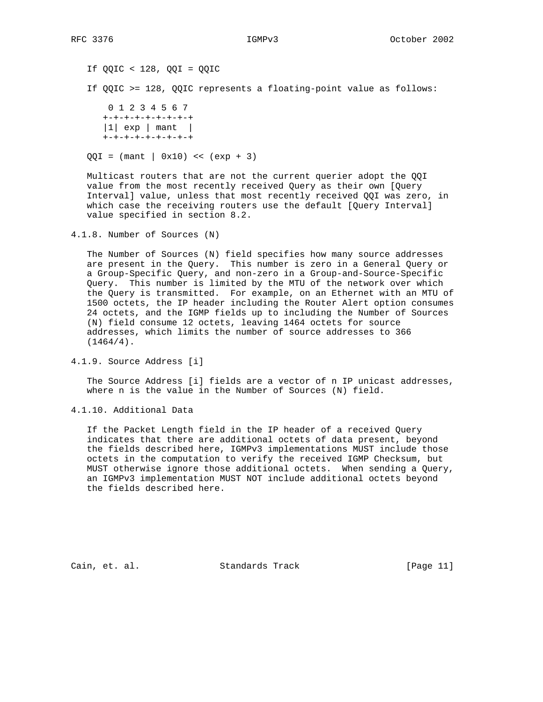If QQIC < 128, QQI = QQIC If QQIC >= 128, QQIC represents a floating-point value as follows: 0 1 2 3 4 5 6 7 +-+-+-+-+-+-+-+-+

 $|1|$  exp | mant | +-+-+-+-+-+-+-+-+

 $QQI = (mant | 0x10) << (exp + 3)$ 

 Multicast routers that are not the current querier adopt the QQI value from the most recently received Query as their own [Query Interval] value, unless that most recently received QQI was zero, in which case the receiving routers use the default [Query Interval] value specified in section 8.2.

4.1.8. Number of Sources (N)

 The Number of Sources (N) field specifies how many source addresses are present in the Query. This number is zero in a General Query or a Group-Specific Query, and non-zero in a Group-and-Source-Specific Query. This number is limited by the MTU of the network over which the Query is transmitted. For example, on an Ethernet with an MTU of 1500 octets, the IP header including the Router Alert option consumes 24 octets, and the IGMP fields up to including the Number of Sources (N) field consume 12 octets, leaving 1464 octets for source addresses, which limits the number of source addresses to 366  $(1464/4)$ .

4.1.9. Source Address [i]

 The Source Address [i] fields are a vector of n IP unicast addresses, where n is the value in the Number of Sources (N) field.

4.1.10. Additional Data

 If the Packet Length field in the IP header of a received Query indicates that there are additional octets of data present, beyond the fields described here, IGMPv3 implementations MUST include those octets in the computation to verify the received IGMP Checksum, but MUST otherwise ignore those additional octets. When sending a Query, an IGMPv3 implementation MUST NOT include additional octets beyond the fields described here.

Cain, et. al. Standards Track [Page 11]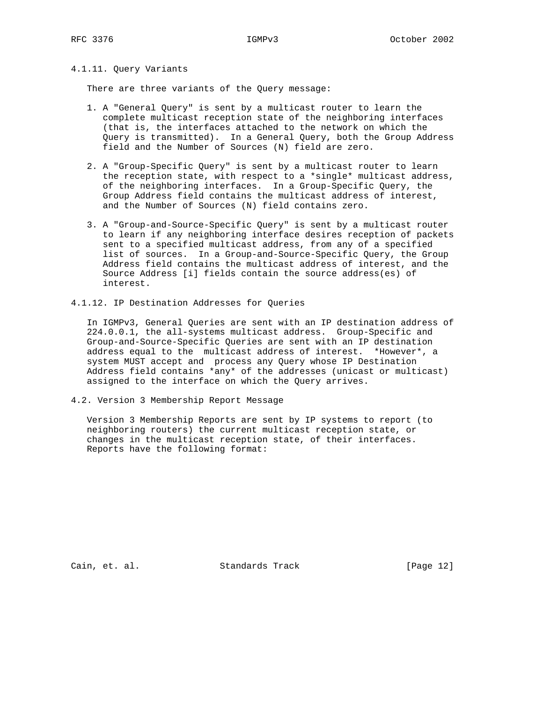## 4.1.11. Query Variants

There are three variants of the Query message:

- 1. A "General Query" is sent by a multicast router to learn the complete multicast reception state of the neighboring interfaces (that is, the interfaces attached to the network on which the Query is transmitted). In a General Query, both the Group Address field and the Number of Sources (N) field are zero.
- 2. A "Group-Specific Query" is sent by a multicast router to learn the reception state, with respect to a \*single\* multicast address, of the neighboring interfaces. In a Group-Specific Query, the Group Address field contains the multicast address of interest, and the Number of Sources (N) field contains zero.
- 3. A "Group-and-Source-Specific Query" is sent by a multicast router to learn if any neighboring interface desires reception of packets sent to a specified multicast address, from any of a specified list of sources. In a Group-and-Source-Specific Query, the Group Address field contains the multicast address of interest, and the Source Address [i] fields contain the source address(es) of interest.
- 4.1.12. IP Destination Addresses for Queries

 In IGMPv3, General Queries are sent with an IP destination address of 224.0.0.1, the all-systems multicast address. Group-Specific and Group-and-Source-Specific Queries are sent with an IP destination address equal to the multicast address of interest. \*However\*, a system MUST accept and process any Query whose IP Destination Address field contains \*any\* of the addresses (unicast or multicast) assigned to the interface on which the Query arrives.

4.2. Version 3 Membership Report Message

 Version 3 Membership Reports are sent by IP systems to report (to neighboring routers) the current multicast reception state, or changes in the multicast reception state, of their interfaces. Reports have the following format:

Cain, et. al. Standards Track [Page 12]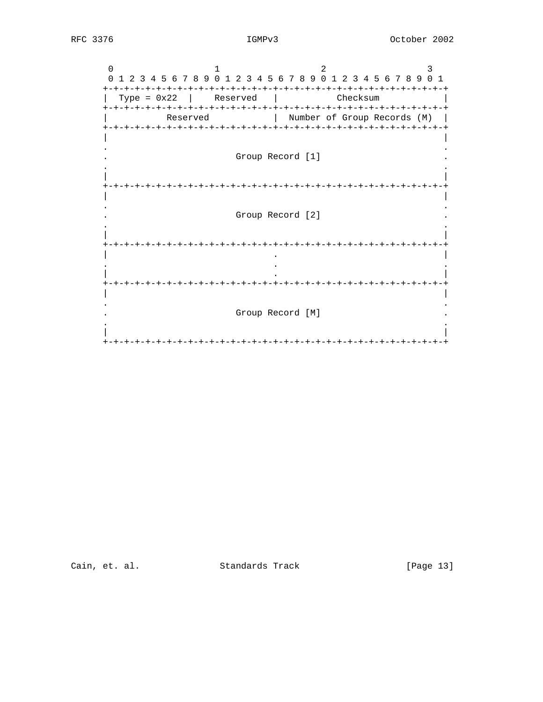$\overline{0}$  $\overline{1}$  $\mathfrak{D}$  $\mathbf{3}$ 0 1 2 3 4 5 6 7 8 9 0 1 2 3 4 5 6 7 8 9 0 1 2 3 4 5 6 7 8 9 0 1  $|$  Type = 0x22 | Reserved | Checksum Reserved | Number of Group Records (M) | Group Record [1] Group Record [2]  $\overline{a}$ Group Record [M] 

Cain, et. al. Standards Track

[Page 13]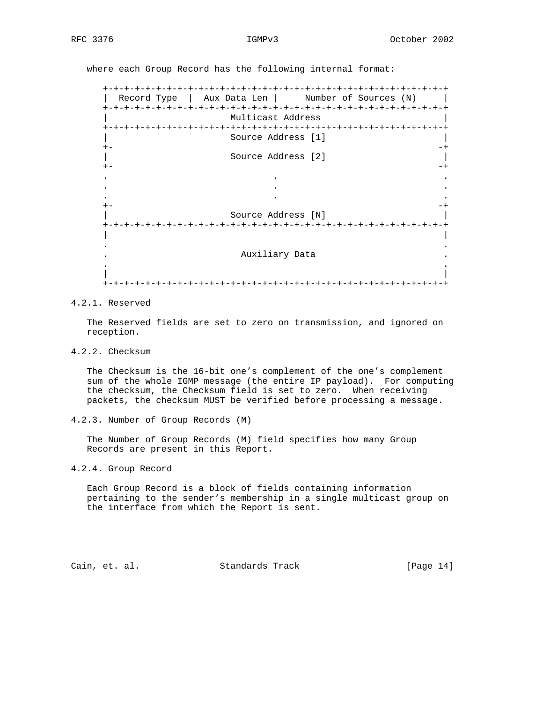where each Group Record has the following internal format:

 +-+-+-+-+-+-+-+-+-+-+-+-+-+-+-+-+-+-+-+-+-+-+-+-+-+-+-+-+-+-+-+-+ | Record Type | Aux Data Len | Number of Sources (N) | +-+-+-+-+-+-+-+-+-+-+-+-+-+-+-+-+-+-+-+-+-+-+-+-+-+-+-+-+-+-+-+-+ | Multicast Address | +-+-+-+-+-+-+-+-+-+-+-+-+-+-+-+-+-+-+-+-+-+-+-+-+-+-+-+-+-+-+-+-+ | Source Address [1] | +- -+ | Source Address [2] | +- -+ . . . . . . . . . +- -+ | Source Address [N] | +-+-+-+-+-+-+-+-+-+-+-+-+-+-+-+-+-+-+-+-+-+-+-+-+-+-+-+-+-+-+-+-+ | | . . . Auxiliary Data . . . | | +-+-+-+-+-+-+-+-+-+-+-+-+-+-+-+-+-+-+-+-+-+-+-+-+-+-+-+-+-+-+-+-+

## 4.2.1. Reserved

 The Reserved fields are set to zero on transmission, and ignored on reception.

4.2.2. Checksum

 The Checksum is the 16-bit one's complement of the one's complement sum of the whole IGMP message (the entire IP payload). For computing the checksum, the Checksum field is set to zero. When receiving packets, the checksum MUST be verified before processing a message.

4.2.3. Number of Group Records (M)

 The Number of Group Records (M) field specifies how many Group Records are present in this Report.

4.2.4. Group Record

 Each Group Record is a block of fields containing information pertaining to the sender's membership in a single multicast group on the interface from which the Report is sent.

Cain, et. al. Standards Track [Page 14]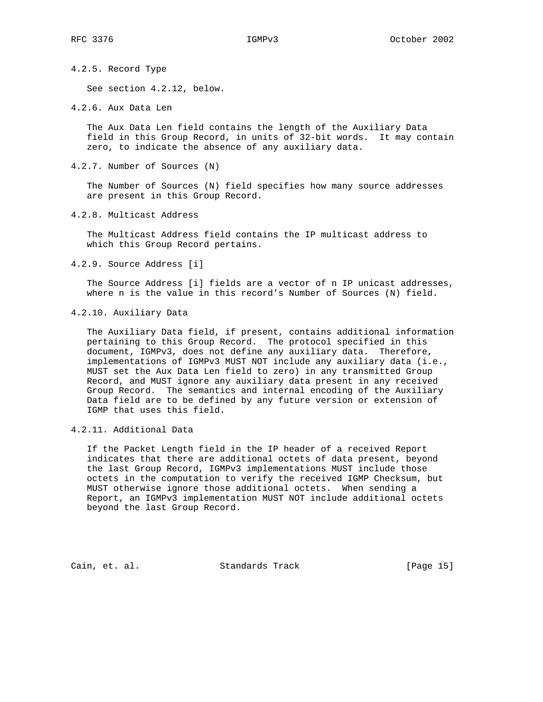4.2.5. Record Type

See section 4.2.12, below.

4.2.6. Aux Data Len

 The Aux Data Len field contains the length of the Auxiliary Data field in this Group Record, in units of 32-bit words. It may contain zero, to indicate the absence of any auxiliary data.

4.2.7. Number of Sources (N)

 The Number of Sources (N) field specifies how many source addresses are present in this Group Record.

4.2.8. Multicast Address

 The Multicast Address field contains the IP multicast address to which this Group Record pertains.

4.2.9. Source Address [i]

 The Source Address [i] fields are a vector of n IP unicast addresses, where n is the value in this record's Number of Sources (N) field.

4.2.10. Auxiliary Data

 The Auxiliary Data field, if present, contains additional information pertaining to this Group Record. The protocol specified in this document, IGMPv3, does not define any auxiliary data. Therefore, implementations of IGMPv3 MUST NOT include any auxiliary data (i.e., MUST set the Aux Data Len field to zero) in any transmitted Group Record, and MUST ignore any auxiliary data present in any received Group Record. The semantics and internal encoding of the Auxiliary Data field are to be defined by any future version or extension of IGMP that uses this field.

4.2.11. Additional Data

 If the Packet Length field in the IP header of a received Report indicates that there are additional octets of data present, beyond the last Group Record, IGMPv3 implementations MUST include those octets in the computation to verify the received IGMP Checksum, but MUST otherwise ignore those additional octets. When sending a Report, an IGMPv3 implementation MUST NOT include additional octets beyond the last Group Record.

Cain, et. al. Standards Track [Page 15]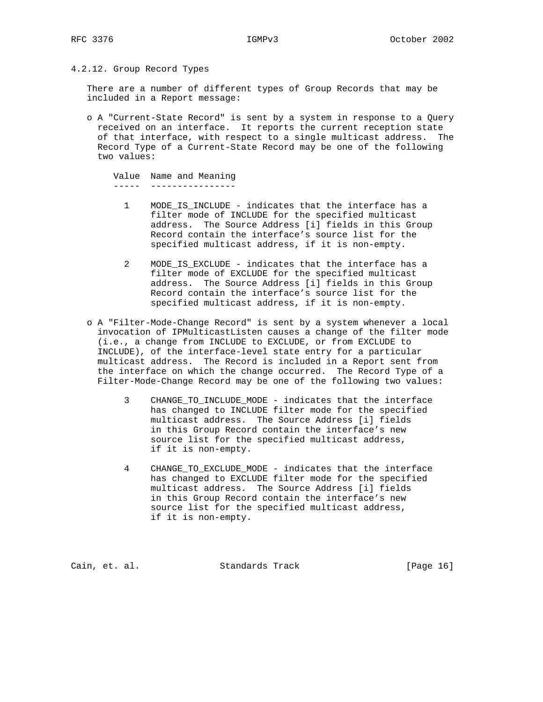4.2.12. Group Record Types

 There are a number of different types of Group Records that may be included in a Report message:

 o A "Current-State Record" is sent by a system in response to a Query received on an interface. It reports the current reception state of that interface, with respect to a single multicast address. The Record Type of a Current-State Record may be one of the following two values:

```
 Value Name and Meaning
 ----- ----------------
```
- 1 MODE\_IS\_INCLUDE indicates that the interface has a filter mode of INCLUDE for the specified multicast address. The Source Address [i] fields in this Group Record contain the interface's source list for the specified multicast address, if it is non-empty.
- 2 MODE\_IS\_EXCLUDE indicates that the interface has a filter mode of EXCLUDE for the specified multicast address. The Source Address [i] fields in this Group Record contain the interface's source list for the specified multicast address, if it is non-empty.
- o A "Filter-Mode-Change Record" is sent by a system whenever a local invocation of IPMulticastListen causes a change of the filter mode (i.e., a change from INCLUDE to EXCLUDE, or from EXCLUDE to INCLUDE), of the interface-level state entry for a particular multicast address. The Record is included in a Report sent from the interface on which the change occurred. The Record Type of a Filter-Mode-Change Record may be one of the following two values:
	- 3 CHANGE\_TO\_INCLUDE\_MODE indicates that the interface has changed to INCLUDE filter mode for the specified multicast address. The Source Address [i] fields in this Group Record contain the interface's new source list for the specified multicast address, if it is non-empty.
	- 4 CHANGE\_TO\_EXCLUDE\_MODE indicates that the interface has changed to EXCLUDE filter mode for the specified multicast address. The Source Address [i] fields in this Group Record contain the interface's new source list for the specified multicast address, if it is non-empty.

Cain, et. al. Standards Track [Page 16]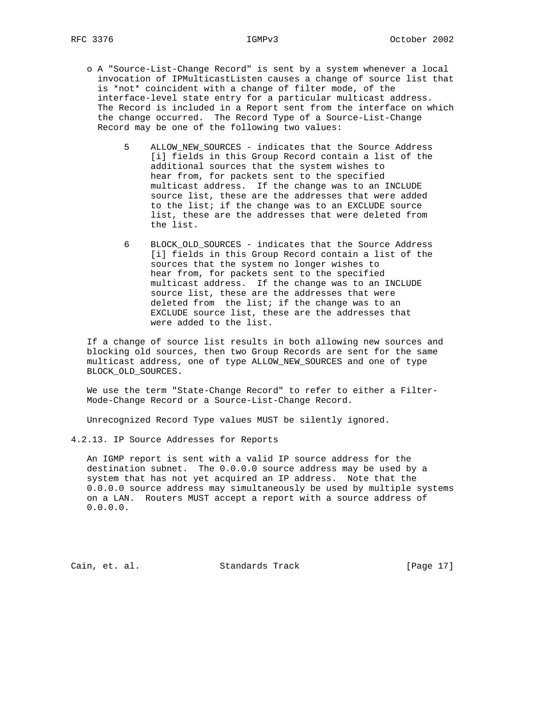- o A "Source-List-Change Record" is sent by a system whenever a local invocation of IPMulticastListen causes a change of source list that is \*not\* coincident with a change of filter mode, of the interface-level state entry for a particular multicast address. The Record is included in a Report sent from the interface on which the change occurred. The Record Type of a Source-List-Change Record may be one of the following two values:
	- 5 ALLOW\_NEW\_SOURCES indicates that the Source Address [i] fields in this Group Record contain a list of the additional sources that the system wishes to hear from, for packets sent to the specified multicast address. If the change was to an INCLUDE source list, these are the addresses that were added to the list; if the change was to an EXCLUDE source list, these are the addresses that were deleted from the list.
	- 6 BLOCK\_OLD\_SOURCES indicates that the Source Address [i] fields in this Group Record contain a list of the sources that the system no longer wishes to hear from, for packets sent to the specified multicast address. If the change was to an INCLUDE source list, these are the addresses that were deleted from the list; if the change was to an EXCLUDE source list, these are the addresses that were added to the list.

 If a change of source list results in both allowing new sources and blocking old sources, then two Group Records are sent for the same multicast address, one of type ALLOW\_NEW\_SOURCES and one of type BLOCK\_OLD\_SOURCES.

 We use the term "State-Change Record" to refer to either a Filter- Mode-Change Record or a Source-List-Change Record.

Unrecognized Record Type values MUST be silently ignored.

4.2.13. IP Source Addresses for Reports

 An IGMP report is sent with a valid IP source address for the destination subnet. The 0.0.0.0 source address may be used by a system that has not yet acquired an IP address. Note that the 0.0.0.0 source address may simultaneously be used by multiple systems on a LAN. Routers MUST accept a report with a source address of 0.0.0.0.

Cain, et. al. Standards Track [Page 17]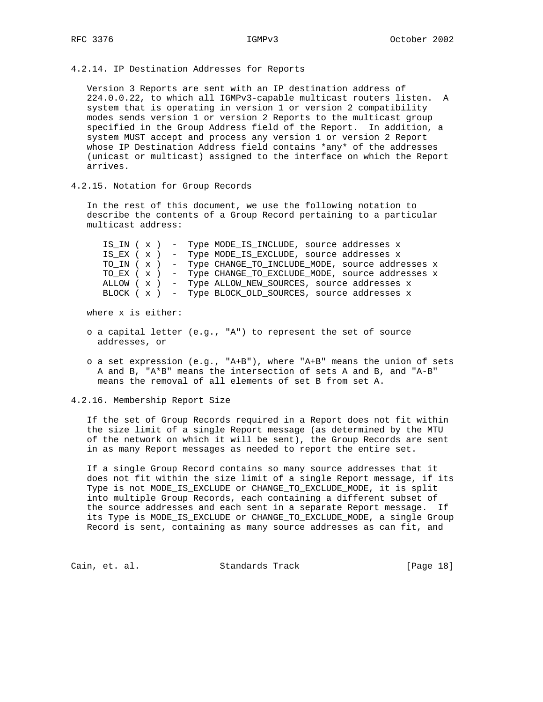### 4.2.14. IP Destination Addresses for Reports

 Version 3 Reports are sent with an IP destination address of 224.0.0.22, to which all IGMPv3-capable multicast routers listen. A system that is operating in version 1 or version 2 compatibility modes sends version 1 or version 2 Reports to the multicast group specified in the Group Address field of the Report. In addition, a system MUST accept and process any version 1 or version 2 Report whose IP Destination Address field contains \*any\* of the addresses (unicast or multicast) assigned to the interface on which the Report arrives.

## 4.2.15. Notation for Group Records

 In the rest of this document, we use the following notation to describe the contents of a Group Record pertaining to a particular multicast address:

 IS\_IN ( x ) - Type MODE\_IS\_INCLUDE, source addresses x IS\_EX ( x ) - Type MODE\_IS\_EXCLUDE, source addresses x TO\_IN ( x ) - Type CHANGE\_TO\_INCLUDE\_MODE, source addresses x TO\_EX ( x ) - Type CHANGE\_TO\_EXCLUDE\_MODE, source addresses x ALLOW ( x ) - Type ALLOW\_NEW\_SOURCES, source addresses x BLOCK ( x ) - Type BLOCK\_OLD\_SOURCES, source addresses x

where x is either:

- o a capital letter (e.g., "A") to represent the set of source addresses, or
- o a set expression (e.g., "A+B"), where "A+B" means the union of sets A and B, "A\*B" means the intersection of sets A and B, and "A-B" means the removal of all elements of set B from set A.

4.2.16. Membership Report Size

 If the set of Group Records required in a Report does not fit within the size limit of a single Report message (as determined by the MTU of the network on which it will be sent), the Group Records are sent in as many Report messages as needed to report the entire set.

 If a single Group Record contains so many source addresses that it does not fit within the size limit of a single Report message, if its Type is not MODE\_IS\_EXCLUDE or CHANGE\_TO\_EXCLUDE\_MODE, it is split into multiple Group Records, each containing a different subset of the source addresses and each sent in a separate Report message. If its Type is MODE\_IS\_EXCLUDE or CHANGE\_TO\_EXCLUDE\_MODE, a single Group Record is sent, containing as many source addresses as can fit, and

Cain, et. al. Standards Track [Page 18]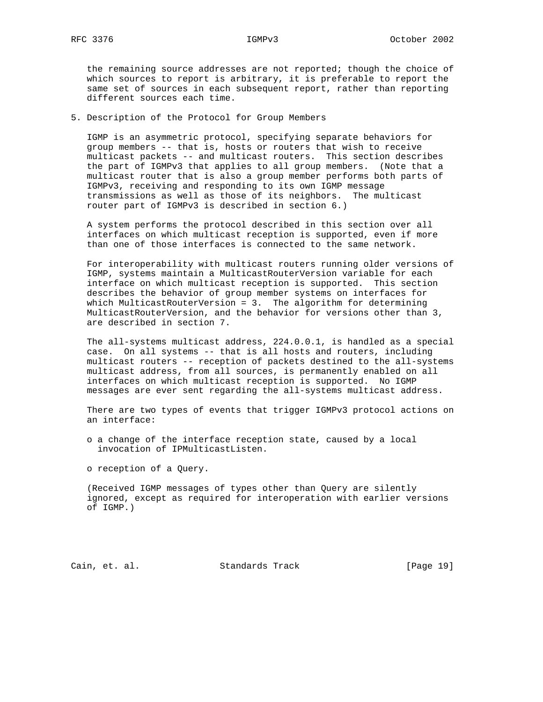the remaining source addresses are not reported; though the choice of which sources to report is arbitrary, it is preferable to report the same set of sources in each subsequent report, rather than reporting different sources each time.

5. Description of the Protocol for Group Members

 IGMP is an asymmetric protocol, specifying separate behaviors for group members -- that is, hosts or routers that wish to receive multicast packets -- and multicast routers. This section describes the part of IGMPv3 that applies to all group members. (Note that a multicast router that is also a group member performs both parts of IGMPv3, receiving and responding to its own IGMP message transmissions as well as those of its neighbors. The multicast router part of IGMPv3 is described in section 6.)

 A system performs the protocol described in this section over all interfaces on which multicast reception is supported, even if more than one of those interfaces is connected to the same network.

 For interoperability with multicast routers running older versions of IGMP, systems maintain a MulticastRouterVersion variable for each interface on which multicast reception is supported. This section describes the behavior of group member systems on interfaces for which MulticastRouterVersion = 3. The algorithm for determining MulticastRouterVersion, and the behavior for versions other than 3, are described in section 7.

 The all-systems multicast address, 224.0.0.1, is handled as a special case. On all systems -- that is all hosts and routers, including multicast routers -- reception of packets destined to the all-systems multicast address, from all sources, is permanently enabled on all interfaces on which multicast reception is supported. No IGMP messages are ever sent regarding the all-systems multicast address.

 There are two types of events that trigger IGMPv3 protocol actions on an interface:

 o a change of the interface reception state, caused by a local invocation of IPMulticastListen.

o reception of a Query.

 (Received IGMP messages of types other than Query are silently ignored, except as required for interoperation with earlier versions of IGMP.)

Cain, et. al. Standards Track [Page 19]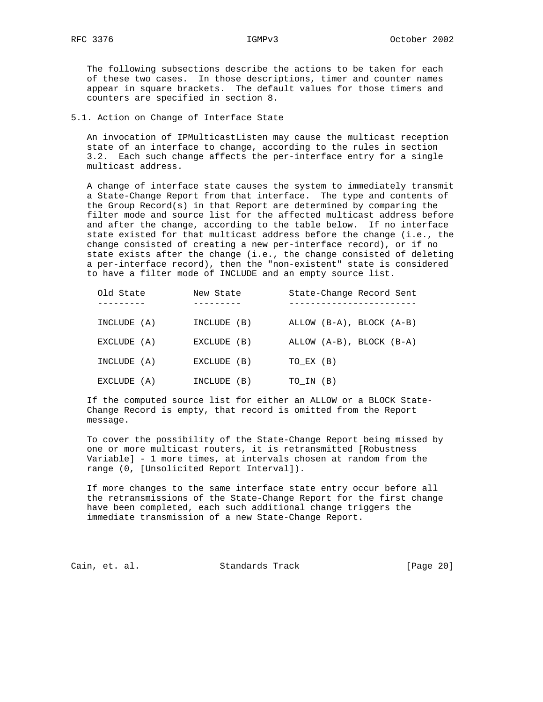The following subsections describe the actions to be taken for each of these two cases. In those descriptions, timer and counter names appear in square brackets. The default values for those timers and counters are specified in section 8.

5.1. Action on Change of Interface State

 An invocation of IPMulticastListen may cause the multicast reception state of an interface to change, according to the rules in section 3.2. Each such change affects the per-interface entry for a single multicast address.

 A change of interface state causes the system to immediately transmit a State-Change Report from that interface. The type and contents of the Group Record(s) in that Report are determined by comparing the filter mode and source list for the affected multicast address before and after the change, according to the table below. If no interface state existed for that multicast address before the change (i.e., the change consisted of creating a new per-interface record), or if no state exists after the change (i.e., the change consisted of deleting a per-interface record), then the "non-existent" state is considered to have a filter mode of INCLUDE and an empty source list.

| Old State   | New State   | State-Change Record Sent |
|-------------|-------------|--------------------------|
| INCLUDE (A) | INCLUDE (B) | ALLOW (B-A), BLOCK (A-B) |
| EXCLUDE (A) | EXCLUDE (B) | ALLOW (A-B), BLOCK (B-A) |
| INCLUDE (A) | EXCLUDE (B) | TO EX (B)                |
| EXCLUDE (A) | INCLUDE (B) | TO IN (B)                |

 If the computed source list for either an ALLOW or a BLOCK State- Change Record is empty, that record is omitted from the Report message.

 To cover the possibility of the State-Change Report being missed by one or more multicast routers, it is retransmitted [Robustness Variable] - 1 more times, at intervals chosen at random from the range (0, [Unsolicited Report Interval]).

 If more changes to the same interface state entry occur before all the retransmissions of the State-Change Report for the first change have been completed, each such additional change triggers the immediate transmission of a new State-Change Report.

Cain, et. al. Standards Track [Page 20]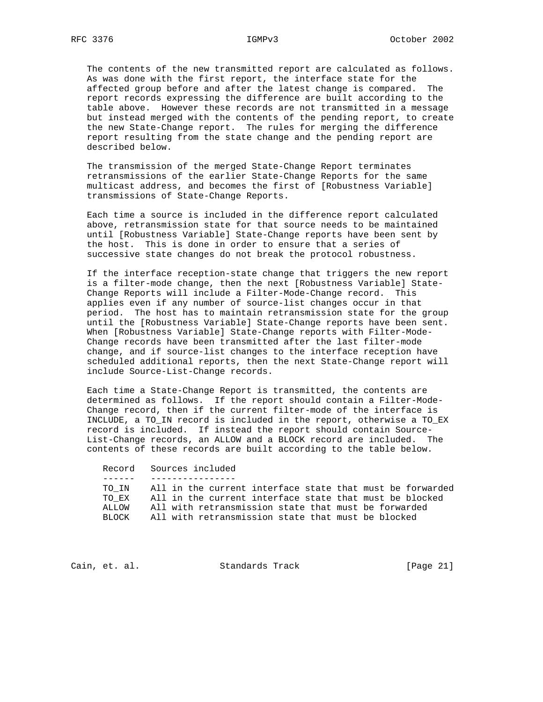The contents of the new transmitted report are calculated as follows. As was done with the first report, the interface state for the affected group before and after the latest change is compared. The report records expressing the difference are built according to the table above. However these records are not transmitted in a message but instead merged with the contents of the pending report, to create the new State-Change report. The rules for merging the difference report resulting from the state change and the pending report are described below.

 The transmission of the merged State-Change Report terminates retransmissions of the earlier State-Change Reports for the same multicast address, and becomes the first of [Robustness Variable] transmissions of State-Change Reports.

 Each time a source is included in the difference report calculated above, retransmission state for that source needs to be maintained until [Robustness Variable] State-Change reports have been sent by the host. This is done in order to ensure that a series of successive state changes do not break the protocol robustness.

 If the interface reception-state change that triggers the new report is a filter-mode change, then the next [Robustness Variable] State- Change Reports will include a Filter-Mode-Change record. This applies even if any number of source-list changes occur in that period. The host has to maintain retransmission state for the group until the [Robustness Variable] State-Change reports have been sent. When [Robustness Variable] State-Change reports with Filter-Mode- Change records have been transmitted after the last filter-mode change, and if source-list changes to the interface reception have scheduled additional reports, then the next State-Change report will include Source-List-Change records.

 Each time a State-Change Report is transmitted, the contents are determined as follows. If the report should contain a Filter-Mode- Change record, then if the current filter-mode of the interface is INCLUDE, a TO\_IN record is included in the report, otherwise a TO\_EX record is included. If instead the report should contain Source- List-Change records, an ALLOW and a BLOCK record are included. The contents of these records are built according to the table below.

 Record Sources included ------ ---------------- TO\_IN All in the current interface state that must be forwarded TO\_EX All in the current interface state that must be blocked ALLOW All with retransmission state that must be forwarded BLOCK All with retransmission state that must be blocked

Cain, et. al. Standards Track [Page 21]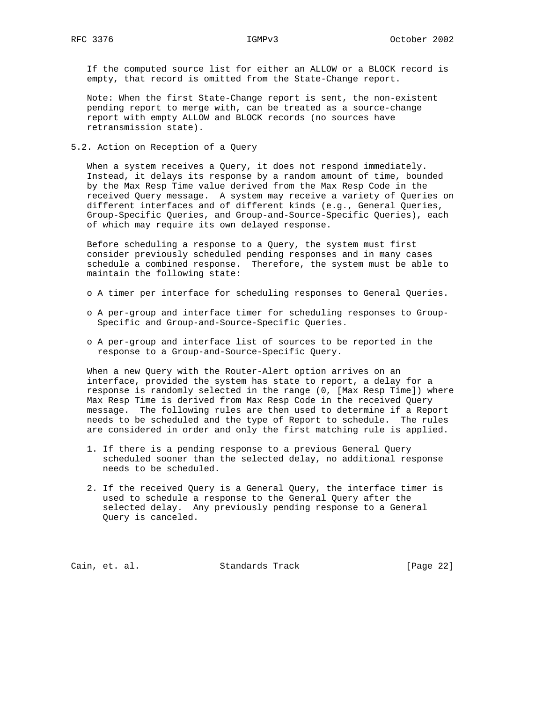If the computed source list for either an ALLOW or a BLOCK record is empty, that record is omitted from the State-Change report.

 Note: When the first State-Change report is sent, the non-existent pending report to merge with, can be treated as a source-change report with empty ALLOW and BLOCK records (no sources have retransmission state).

5.2. Action on Reception of a Query

 When a system receives a Query, it does not respond immediately. Instead, it delays its response by a random amount of time, bounded by the Max Resp Time value derived from the Max Resp Code in the received Query message. A system may receive a variety of Queries on different interfaces and of different kinds (e.g., General Queries, Group-Specific Queries, and Group-and-Source-Specific Queries), each of which may require its own delayed response.

 Before scheduling a response to a Query, the system must first consider previously scheduled pending responses and in many cases schedule a combined response. Therefore, the system must be able to maintain the following state:

- o A timer per interface for scheduling responses to General Queries.
- o A per-group and interface timer for scheduling responses to Group- Specific and Group-and-Source-Specific Queries.
- o A per-group and interface list of sources to be reported in the response to a Group-and-Source-Specific Query.

 When a new Query with the Router-Alert option arrives on an interface, provided the system has state to report, a delay for a response is randomly selected in the range (0, [Max Resp Time]) where Max Resp Time is derived from Max Resp Code in the received Query message. The following rules are then used to determine if a Report needs to be scheduled and the type of Report to schedule. The rules are considered in order and only the first matching rule is applied.

- 1. If there is a pending response to a previous General Query scheduled sooner than the selected delay, no additional response needs to be scheduled.
- 2. If the received Query is a General Query, the interface timer is used to schedule a response to the General Query after the selected delay. Any previously pending response to a General Query is canceled.

Cain, et. al. Standards Track [Page 22]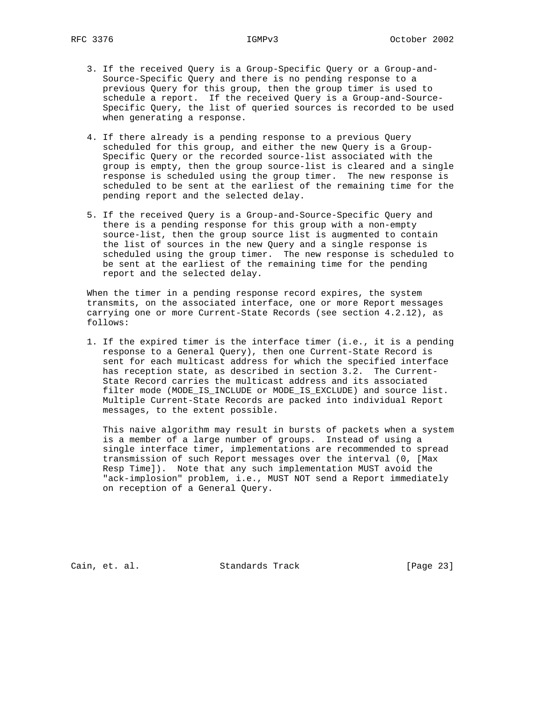- 3. If the received Query is a Group-Specific Query or a Group-and- Source-Specific Query and there is no pending response to a previous Query for this group, then the group timer is used to schedule a report. If the received Query is a Group-and-Source- Specific Query, the list of queried sources is recorded to be used when generating a response.
- 4. If there already is a pending response to a previous Query scheduled for this group, and either the new Query is a Group- Specific Query or the recorded source-list associated with the group is empty, then the group source-list is cleared and a single response is scheduled using the group timer. The new response is scheduled to be sent at the earliest of the remaining time for the pending report and the selected delay.
- 5. If the received Query is a Group-and-Source-Specific Query and there is a pending response for this group with a non-empty source-list, then the group source list is augmented to contain the list of sources in the new Query and a single response is scheduled using the group timer. The new response is scheduled to be sent at the earliest of the remaining time for the pending report and the selected delay.

 When the timer in a pending response record expires, the system transmits, on the associated interface, one or more Report messages carrying one or more Current-State Records (see section 4.2.12), as follows:

 1. If the expired timer is the interface timer (i.e., it is a pending response to a General Query), then one Current-State Record is sent for each multicast address for which the specified interface has reception state, as described in section 3.2. The Current- State Record carries the multicast address and its associated filter mode (MODE\_IS\_INCLUDE or MODE\_IS\_EXCLUDE) and source list. Multiple Current-State Records are packed into individual Report messages, to the extent possible.

 This naive algorithm may result in bursts of packets when a system is a member of a large number of groups. Instead of using a single interface timer, implementations are recommended to spread transmission of such Report messages over the interval (0, [Max Resp Time]). Note that any such implementation MUST avoid the "ack-implosion" problem, i.e., MUST NOT send a Report immediately on reception of a General Query.

Cain, et. al. Standards Track [Page 23]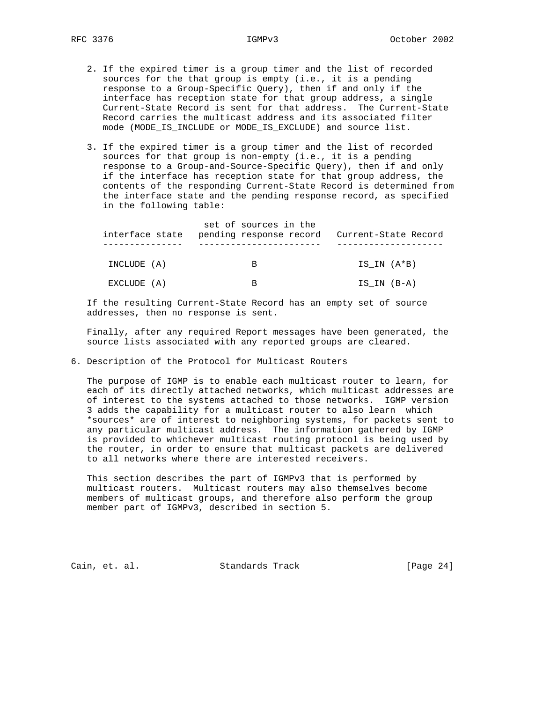- 2. If the expired timer is a group timer and the list of recorded sources for the that group is empty (i.e., it is a pending response to a Group-Specific Query), then if and only if the interface has reception state for that group address, a single Current-State Record is sent for that address. The Current-State Record carries the multicast address and its associated filter mode (MODE\_IS\_INCLUDE or MODE\_IS\_EXCLUDE) and source list.
- 3. If the expired timer is a group timer and the list of recorded sources for that group is non-empty (i.e., it is a pending response to a Group-and-Source-Specific Query), then if and only if the interface has reception state for that group address, the contents of the responding Current-State Record is determined from the interface state and the pending response record, as specified in the following table:

| interface state | set of sources in the<br>pending response record | Current-State Record |
|-----------------|--------------------------------------------------|----------------------|
| INCLUDE (A)     | B                                                | IS IN (A*B)          |
| EXCLUDE (A)     | В                                                | IS IN (B-A)          |

 If the resulting Current-State Record has an empty set of source addresses, then no response is sent.

 Finally, after any required Report messages have been generated, the source lists associated with any reported groups are cleared.

6. Description of the Protocol for Multicast Routers

 The purpose of IGMP is to enable each multicast router to learn, for each of its directly attached networks, which multicast addresses are of interest to the systems attached to those networks. IGMP version 3 adds the capability for a multicast router to also learn which \*sources\* are of interest to neighboring systems, for packets sent to any particular multicast address. The information gathered by IGMP is provided to whichever multicast routing protocol is being used by the router, in order to ensure that multicast packets are delivered to all networks where there are interested receivers.

 This section describes the part of IGMPv3 that is performed by multicast routers. Multicast routers may also themselves become members of multicast groups, and therefore also perform the group member part of IGMPv3, described in section 5.

Cain, et. al. Standards Track [Page 24]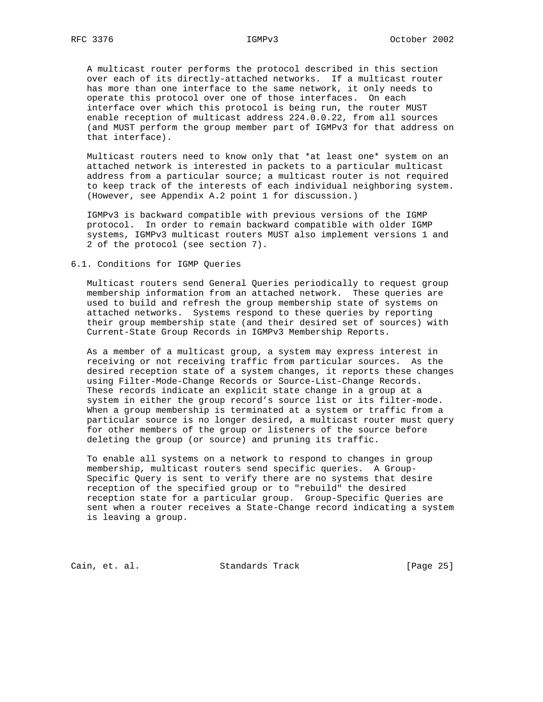A multicast router performs the protocol described in this section over each of its directly-attached networks. If a multicast router has more than one interface to the same network, it only needs to operate this protocol over one of those interfaces. On each interface over which this protocol is being run, the router MUST enable reception of multicast address 224.0.0.22, from all sources (and MUST perform the group member part of IGMPv3 for that address on that interface).

 Multicast routers need to know only that \*at least one\* system on an attached network is interested in packets to a particular multicast address from a particular source; a multicast router is not required to keep track of the interests of each individual neighboring system. (However, see Appendix A.2 point 1 for discussion.)

 IGMPv3 is backward compatible with previous versions of the IGMP protocol. In order to remain backward compatible with older IGMP systems, IGMPv3 multicast routers MUST also implement versions 1 and 2 of the protocol (see section 7).

### 6.1. Conditions for IGMP Queries

 Multicast routers send General Queries periodically to request group membership information from an attached network. These queries are used to build and refresh the group membership state of systems on attached networks. Systems respond to these queries by reporting their group membership state (and their desired set of sources) with Current-State Group Records in IGMPv3 Membership Reports.

 As a member of a multicast group, a system may express interest in receiving or not receiving traffic from particular sources. As the desired reception state of a system changes, it reports these changes using Filter-Mode-Change Records or Source-List-Change Records. These records indicate an explicit state change in a group at a system in either the group record's source list or its filter-mode. When a group membership is terminated at a system or traffic from a particular source is no longer desired, a multicast router must query for other members of the group or listeners of the source before deleting the group (or source) and pruning its traffic.

 To enable all systems on a network to respond to changes in group membership, multicast routers send specific queries. A Group- Specific Query is sent to verify there are no systems that desire reception of the specified group or to "rebuild" the desired reception state for a particular group. Group-Specific Queries are sent when a router receives a State-Change record indicating a system is leaving a group.

Cain, et. al. Standards Track [Page 25]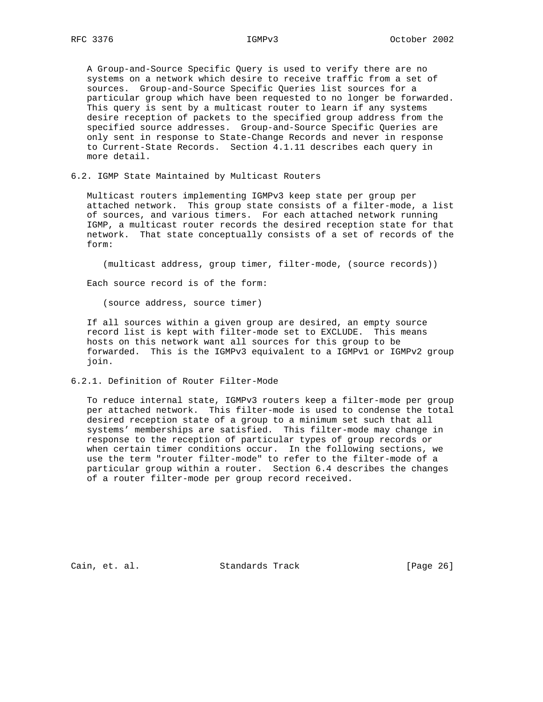A Group-and-Source Specific Query is used to verify there are no systems on a network which desire to receive traffic from a set of sources. Group-and-Source Specific Queries list sources for a particular group which have been requested to no longer be forwarded. This query is sent by a multicast router to learn if any systems desire reception of packets to the specified group address from the specified source addresses. Group-and-Source Specific Queries are only sent in response to State-Change Records and never in response to Current-State Records. Section 4.1.11 describes each query in more detail.

6.2. IGMP State Maintained by Multicast Routers

 Multicast routers implementing IGMPv3 keep state per group per attached network. This group state consists of a filter-mode, a list of sources, and various timers. For each attached network running IGMP, a multicast router records the desired reception state for that network. That state conceptually consists of a set of records of the form:

(multicast address, group timer, filter-mode, (source records))

Each source record is of the form:

(source address, source timer)

 If all sources within a given group are desired, an empty source record list is kept with filter-mode set to EXCLUDE. This means hosts on this network want all sources for this group to be forwarded. This is the IGMPv3 equivalent to a IGMPv1 or IGMPv2 group join.

6.2.1. Definition of Router Filter-Mode

 To reduce internal state, IGMPv3 routers keep a filter-mode per group per attached network. This filter-mode is used to condense the total desired reception state of a group to a minimum set such that all systems' memberships are satisfied. This filter-mode may change in response to the reception of particular types of group records or when certain timer conditions occur. In the following sections, we use the term "router filter-mode" to refer to the filter-mode of a particular group within a router. Section 6.4 describes the changes of a router filter-mode per group record received.

Cain, et. al. Standards Track [Page 26]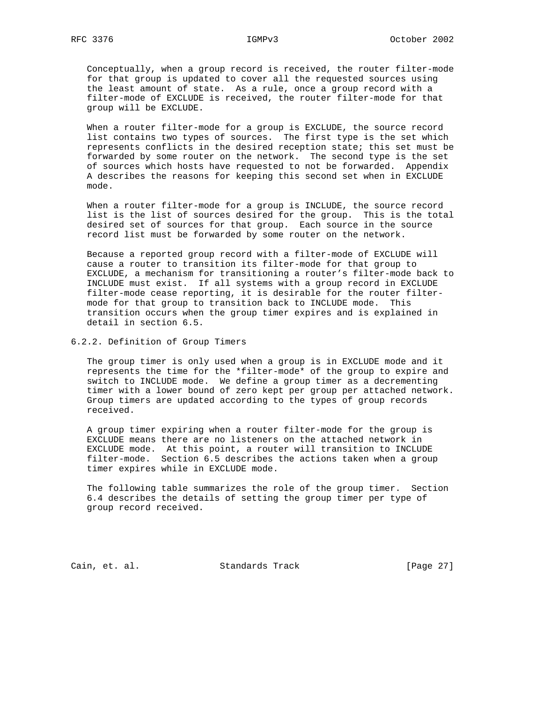Conceptually, when a group record is received, the router filter-mode for that group is updated to cover all the requested sources using the least amount of state. As a rule, once a group record with a filter-mode of EXCLUDE is received, the router filter-mode for that group will be EXCLUDE.

 When a router filter-mode for a group is EXCLUDE, the source record list contains two types of sources. The first type is the set which represents conflicts in the desired reception state; this set must be forwarded by some router on the network. The second type is the set of sources which hosts have requested to not be forwarded. Appendix A describes the reasons for keeping this second set when in EXCLUDE mode.

 When a router filter-mode for a group is INCLUDE, the source record list is the list of sources desired for the group. This is the total desired set of sources for that group. Each source in the source record list must be forwarded by some router on the network.

 Because a reported group record with a filter-mode of EXCLUDE will cause a router to transition its filter-mode for that group to EXCLUDE, a mechanism for transitioning a router's filter-mode back to INCLUDE must exist. If all systems with a group record in EXCLUDE filter-mode cease reporting, it is desirable for the router filter mode for that group to transition back to INCLUDE mode. This transition occurs when the group timer expires and is explained in detail in section 6.5.

6.2.2. Definition of Group Timers

 The group timer is only used when a group is in EXCLUDE mode and it represents the time for the \*filter-mode\* of the group to expire and switch to INCLUDE mode. We define a group timer as a decrementing timer with a lower bound of zero kept per group per attached network. Group timers are updated according to the types of group records received.

 A group timer expiring when a router filter-mode for the group is EXCLUDE means there are no listeners on the attached network in EXCLUDE mode. At this point, a router will transition to INCLUDE filter-mode. Section 6.5 describes the actions taken when a group timer expires while in EXCLUDE mode.

 The following table summarizes the role of the group timer. Section 6.4 describes the details of setting the group timer per type of group record received.

Cain, et. al. Standards Track [Page 27]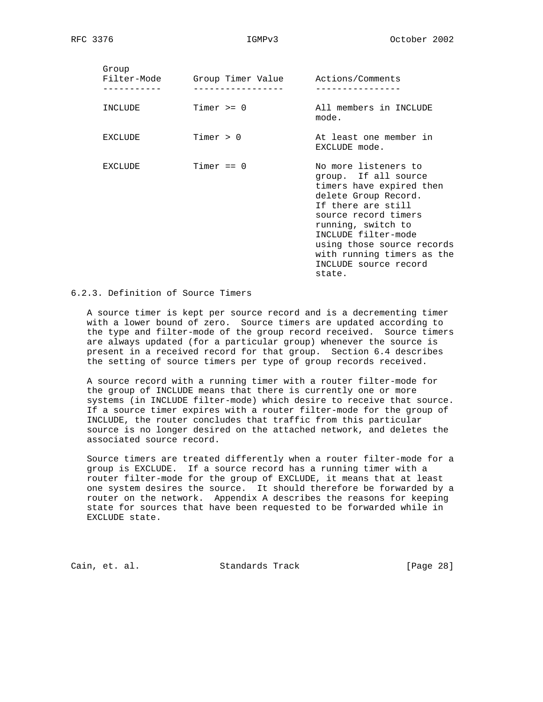| Group<br>Filter-Mode | Group Timer Value Actions/Comments |                                                                                                                                                                                                                                                                                            |
|----------------------|------------------------------------|--------------------------------------------------------------------------------------------------------------------------------------------------------------------------------------------------------------------------------------------------------------------------------------------|
| INCLUDE              | Timer $>= 0$                       | All members in INCLUDE<br>mode.                                                                                                                                                                                                                                                            |
| EXCLUDE              | Timer $> 0$                        | At least one member in<br>EXCLUDE mode.                                                                                                                                                                                                                                                    |
| EXCLUDE              | Timer $== 0$                       | No more listeners to<br>group. If all source<br>timers have expired then<br>delete Group Record.<br>If there are still<br>source record timers<br>running, switch to<br>INCLUDE filter-mode<br>using those source records<br>with running timers as the<br>INCLUDE source record<br>state. |

## 6.2.3. Definition of Source Timers

 A source timer is kept per source record and is a decrementing timer with a lower bound of zero. Source timers are updated according to the type and filter-mode of the group record received. Source timers are always updated (for a particular group) whenever the source is present in a received record for that group. Section 6.4 describes the setting of source timers per type of group records received.

 A source record with a running timer with a router filter-mode for the group of INCLUDE means that there is currently one or more systems (in INCLUDE filter-mode) which desire to receive that source. If a source timer expires with a router filter-mode for the group of INCLUDE, the router concludes that traffic from this particular source is no longer desired on the attached network, and deletes the associated source record.

 Source timers are treated differently when a router filter-mode for a group is EXCLUDE. If a source record has a running timer with a router filter-mode for the group of EXCLUDE, it means that at least one system desires the source. It should therefore be forwarded by a router on the network. Appendix A describes the reasons for keeping state for sources that have been requested to be forwarded while in EXCLUDE state.

Cain, et. al. Standards Track [Page 28]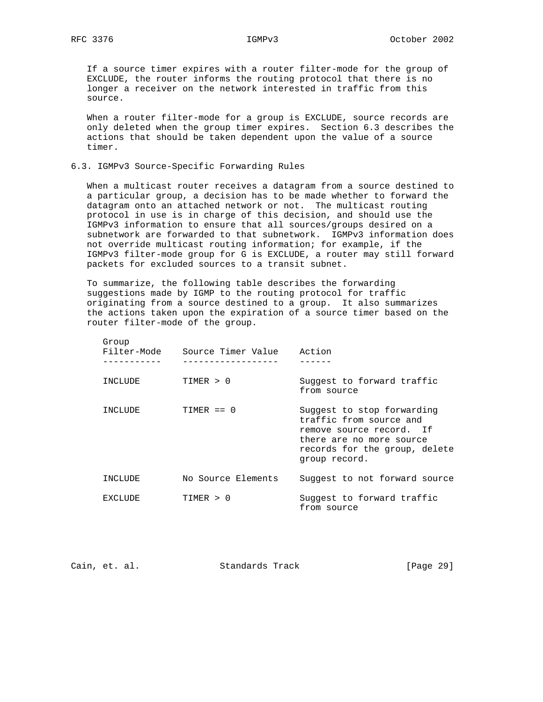If a source timer expires with a router filter-mode for the group of EXCLUDE, the router informs the routing protocol that there is no longer a receiver on the network interested in traffic from this source.

When a router filter-mode for a group is EXCLUDE, source records are only deleted when the group timer expires. Section 6.3 describes the actions that should be taken dependent upon the value of a source timer.

### 6.3. IGMPv3 Source-Specific Forwarding Rules

 When a multicast router receives a datagram from a source destined to a particular group, a decision has to be made whether to forward the datagram onto an attached network or not. The multicast routing protocol in use is in charge of this decision, and should use the IGMPv3 information to ensure that all sources/groups desired on a subnetwork are forwarded to that subnetwork. IGMPv3 information does not override multicast routing information; for example, if the IGMPv3 filter-mode group for G is EXCLUDE, a router may still forward packets for excluded sources to a transit subnet.

 To summarize, the following table describes the forwarding suggestions made by IGMP to the routing protocol for traffic originating from a source destined to a group. It also summarizes the actions taken upon the expiration of a source timer based on the router filter-mode of the group.

| Group<br>Filter-Mode | Source Timer Value | Action                                                                                                                                                          |
|----------------------|--------------------|-----------------------------------------------------------------------------------------------------------------------------------------------------------------|
| INCLUDE              | TTMFR > 0          | Suggest to forward traffic<br>from source                                                                                                                       |
| INCLUDE              | $TIMER == 0$       | Suggest to stop forwarding<br>traffic from source and<br>remove source record. If<br>there are no more source<br>records for the group, delete<br>group record. |
| INCLUDE              | No Source Elements | Suggest to not forward source                                                                                                                                   |
| <b>FXCLUDE</b>       | TIMER > 0          | Suggest to forward traffic<br>from source                                                                                                                       |

| Cain, et. al. |  | Standards Track | [Page 29] |  |
|---------------|--|-----------------|-----------|--|
|               |  |                 |           |  |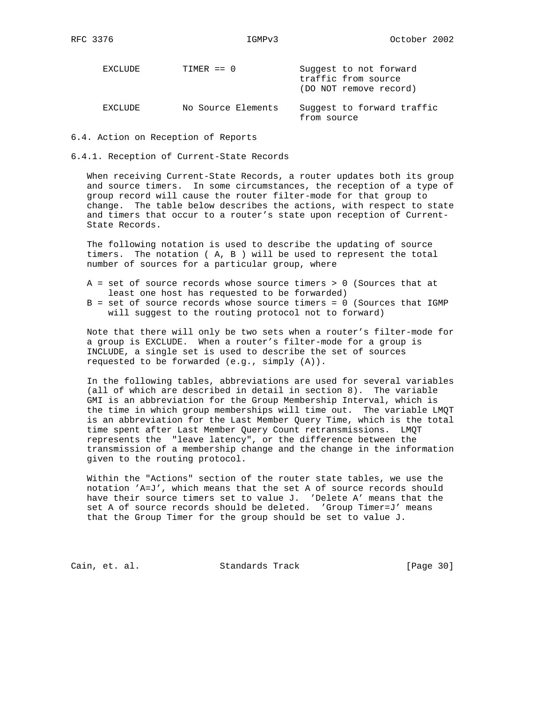| EXCLUDE | $TIMER == 0$       | Suggest to not forward<br>traffic from source<br>(DO NOT remove record) |
|---------|--------------------|-------------------------------------------------------------------------|
| EXCLUDE | No Source Elements | Suggest to forward traffic<br>from source                               |

- 6.4. Action on Reception of Reports
- 6.4.1. Reception of Current-State Records

 When receiving Current-State Records, a router updates both its group and source timers. In some circumstances, the reception of a type of group record will cause the router filter-mode for that group to change. The table below describes the actions, with respect to state and timers that occur to a router's state upon reception of Current- State Records.

 The following notation is used to describe the updating of source timers. The notation ( A, B ) will be used to represent the total number of sources for a particular group, where

- A = set of source records whose source timers > 0 (Sources that at least one host has requested to be forwarded)
- B = set of source records whose source timers = 0 (Sources that IGMP will suggest to the routing protocol not to forward)

 Note that there will only be two sets when a router's filter-mode for a group is EXCLUDE. When a router's filter-mode for a group is INCLUDE, a single set is used to describe the set of sources requested to be forwarded (e.g., simply (A)).

 In the following tables, abbreviations are used for several variables (all of which are described in detail in section 8). The variable GMI is an abbreviation for the Group Membership Interval, which is the time in which group memberships will time out. The variable LMQT is an abbreviation for the Last Member Query Time, which is the total time spent after Last Member Query Count retransmissions. LMQT represents the "leave latency", or the difference between the transmission of a membership change and the change in the information given to the routing protocol.

 Within the "Actions" section of the router state tables, we use the notation 'A=J', which means that the set A of source records should have their source timers set to value J. 'Delete A' means that the set A of source records should be deleted. 'Group Timer=J' means that the Group Timer for the group should be set to value J.

Cain, et. al. Standards Track [Page 30]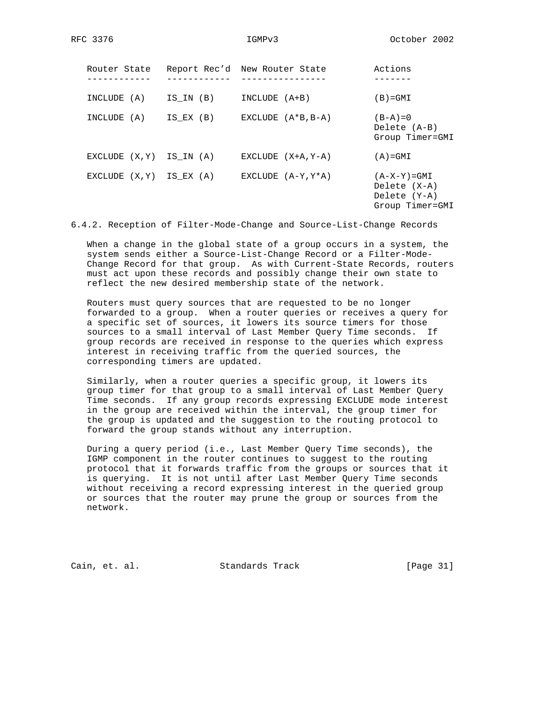| Router State   |           | Report Rec'd New Router State | Actions                                                            |
|----------------|-----------|-------------------------------|--------------------------------------------------------------------|
| INCLUDE (A)    | IS IN (B) | $INCLUDE (A+B)$               | $(B) = GMI$                                                        |
| INCLUDE (A)    | IS EX (B) | EXCLUDE $(A*B,B-A)$           | $(B-A)=0$<br>Delete (A-B)<br>Group Timer=GMI                       |
| EXCLUDE (X, Y) | IS IN (A) | EXCLUDE $(X+A, Y-A)$          | $(A) = GMI$                                                        |
| EXCLUDE (X,Y)  | IS EX (A) | EXCLUDE $(A-Y,Y*A)$           | $(A-X-Y)=GMT$<br>Delete $(X-A)$<br>Delete (Y-A)<br>Group Timer=GMI |

6.4.2. Reception of Filter-Mode-Change and Source-List-Change Records

 When a change in the global state of a group occurs in a system, the system sends either a Source-List-Change Record or a Filter-Mode- Change Record for that group. As with Current-State Records, routers must act upon these records and possibly change their own state to reflect the new desired membership state of the network.

 Routers must query sources that are requested to be no longer forwarded to a group. When a router queries or receives a query for a specific set of sources, it lowers its source timers for those sources to a small interval of Last Member Query Time seconds. If group records are received in response to the queries which express interest in receiving traffic from the queried sources, the corresponding timers are updated.

 Similarly, when a router queries a specific group, it lowers its group timer for that group to a small interval of Last Member Query Time seconds. If any group records expressing EXCLUDE mode interest in the group are received within the interval, the group timer for the group is updated and the suggestion to the routing protocol to forward the group stands without any interruption.

 During a query period (i.e., Last Member Query Time seconds), the IGMP component in the router continues to suggest to the routing protocol that it forwards traffic from the groups or sources that it is querying. It is not until after Last Member Query Time seconds without receiving a record expressing interest in the queried group or sources that the router may prune the group or sources from the network.

Cain, et. al. Standards Track [Page 31]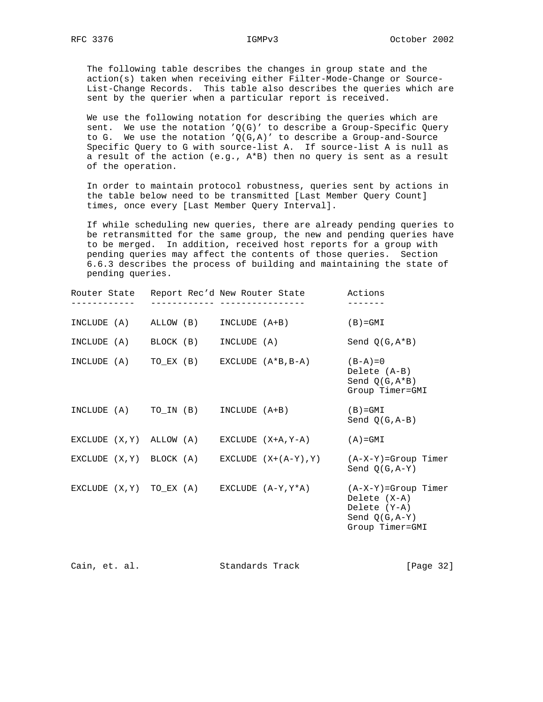The following table describes the changes in group state and the action(s) taken when receiving either Filter-Mode-Change or Source- List-Change Records. This table also describes the queries which are sent by the querier when a particular report is received.

 We use the following notation for describing the queries which are sent. We use the notation  $'Q(G)'$  to describe a Group-Specific Query to G. We use the notation  $'Q(G,A)'$  to describe a Group-and-Source Specific Query to G with source-list A. If source-list A is null as a result of the action (e.g., A\*B) then no query is sent as a result of the operation.

 In order to maintain protocol robustness, queries sent by actions in the table below need to be transmitted [Last Member Query Count] times, once every [Last Member Query Interval].

 If while scheduling new queries, there are already pending queries to be retransmitted for the same group, the new and pending queries have to be merged. In addition, received host reports for a group with pending queries may affect the contents of those queries. Section 6.6.3 describes the process of building and maintaining the state of pending queries.

| - - - - - - - - - - - <sup>-</sup> -      |  |  | Router State Report Rec'd New Router State Actions<br>_________________________________ |                                                                                                                                                    |
|-------------------------------------------|--|--|-----------------------------------------------------------------------------------------|----------------------------------------------------------------------------------------------------------------------------------------------------|
|                                           |  |  | $INCLUDE (A)$ $ALLOW (B)$ $INCLUDE (A+B)$                                               | $(B) = GMI$                                                                                                                                        |
|                                           |  |  | INCLUDE (A) BLOCK (B) INCLUDE (A)                                                       | Send $Q(G, A*B)$                                                                                                                                   |
|                                           |  |  | INCLUDE (A) $TO$ EX (B) EXCLUDE $(A*B,B-A)$ $(B-A)=0$                                   | Delete (A-B)<br>Send $Q(G, A*B)$<br>Group Timer=GMI                                                                                                |
| INCLUDE $(A)$ TO_IN $(B)$ INCLUDE $(A+B)$ |  |  |                                                                                         | $(B) = GMI$<br>Send $Q(G, A-B)$                                                                                                                    |
|                                           |  |  | EXCLUDE $(X, Y)$ ALLOW $(A)$ EXCLUDE $(X+A, Y-A)$ $(A)=GMI$                             |                                                                                                                                                    |
|                                           |  |  |                                                                                         | EXCLUDE $(X, Y)$ BLOCK $(A)$ EXCLUDE $(X+(A-Y), Y)$ $(A-X-Y)=Group$ Timer<br>Send $O(G, A-Y)$                                                      |
|                                           |  |  |                                                                                         | EXCLUDE $(X, Y)$ TO_EX $(A)$ EXCLUDE $(A-Y, Y^*A)$ $(A-X-Y)$ =Group Timer<br>Delete $(X-A)$<br>Delete (Y-A)<br>Send $Q(G, A-Y)$<br>Group Timer=GMI |

| Cain, et. al. |  |  | Standards Track |  | [Page 32] |  |
|---------------|--|--|-----------------|--|-----------|--|
|---------------|--|--|-----------------|--|-----------|--|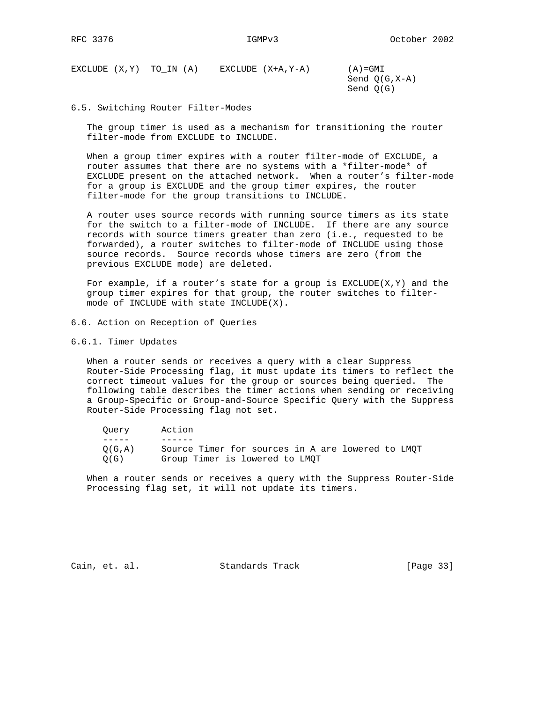EXCLUDE  $(X,Y)$  TO\_IN  $(A)$  EXCLUDE  $(X+A, Y-A)$   $(A)=GMI$  Send Q(G,X-A) Send Q(G)

6.5. Switching Router Filter-Modes

 The group timer is used as a mechanism for transitioning the router filter-mode from EXCLUDE to INCLUDE.

 When a group timer expires with a router filter-mode of EXCLUDE, a router assumes that there are no systems with a \*filter-mode\* of EXCLUDE present on the attached network. When a router's filter-mode for a group is EXCLUDE and the group timer expires, the router filter-mode for the group transitions to INCLUDE.

 A router uses source records with running source timers as its state for the switch to a filter-mode of INCLUDE. If there are any source records with source timers greater than zero (i.e., requested to be forwarded), a router switches to filter-mode of INCLUDE using those source records. Source records whose timers are zero (from the previous EXCLUDE mode) are deleted.

For example, if a router's state for a group is  $EXCLUDE(X, Y)$  and the group timer expires for that group, the router switches to filter mode of INCLUDE with state INCLUDE(X).

- 6.6. Action on Reception of Queries
- 6.6.1. Timer Updates

 When a router sends or receives a query with a clear Suppress Router-Side Processing flag, it must update its timers to reflect the correct timeout values for the group or sources being queried. The following table describes the timer actions when sending or receiving a Group-Specific or Group-and-Source Specific Query with the Suppress Router-Side Processing flag not set.

| Ouerv          | Action                                                                              |
|----------------|-------------------------------------------------------------------------------------|
|                |                                                                                     |
| O(G.A)<br>O(G) | Source Timer for sources in A are lowered to LMOT<br>Group Timer is lowered to LMOT |

 When a router sends or receives a query with the Suppress Router-Side Processing flag set, it will not update its timers.

Cain, et. al. Standards Track [Page 33]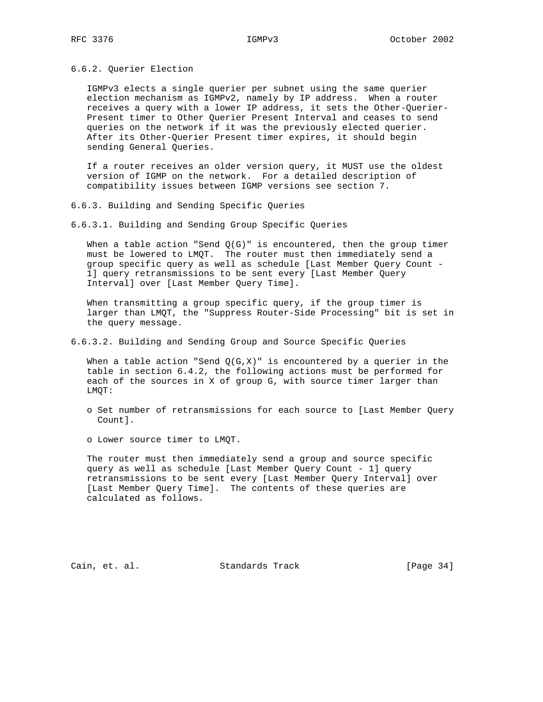6.6.2. Querier Election

 IGMPv3 elects a single querier per subnet using the same querier election mechanism as IGMPv2, namely by IP address. When a router receives a query with a lower IP address, it sets the Other-Querier- Present timer to Other Querier Present Interval and ceases to send queries on the network if it was the previously elected querier. After its Other-Querier Present timer expires, it should begin sending General Queries.

 If a router receives an older version query, it MUST use the oldest version of IGMP on the network. For a detailed description of compatibility issues between IGMP versions see section 7.

- 6.6.3. Building and Sending Specific Queries
- 6.6.3.1. Building and Sending Group Specific Queries

When a table action "Send  $Q(G)$ " is encountered, then the group timer must be lowered to LMQT. The router must then immediately send a group specific query as well as schedule [Last Member Query Count - 1] query retransmissions to be sent every [Last Member Query Interval] over [Last Member Query Time].

 When transmitting a group specific query, if the group timer is larger than LMQT, the "Suppress Router-Side Processing" bit is set in the query message.

6.6.3.2. Building and Sending Group and Source Specific Queries

When a table action "Send  $Q(G,X)$ " is encountered by a querier in the table in section 6.4.2, the following actions must be performed for each of the sources in X of group G, with source timer larger than LMQT:

- o Set number of retransmissions for each source to [Last Member Query Count].
- o Lower source timer to LMQT.

 The router must then immediately send a group and source specific query as well as schedule [Last Member Query Count - 1] query retransmissions to be sent every [Last Member Query Interval] over [Last Member Query Time]. The contents of these queries are calculated as follows.

Cain, et. al. Standards Track [Page 34]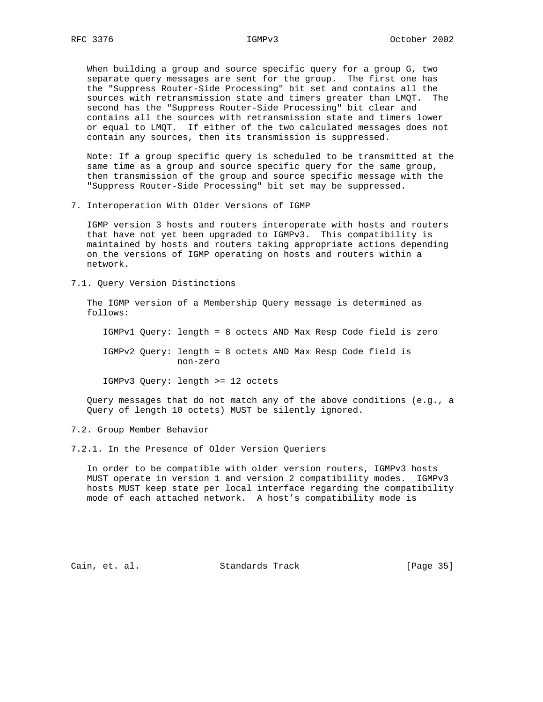When building a group and source specific query for a group G, two separate query messages are sent for the group. The first one has the "Suppress Router-Side Processing" bit set and contains all the sources with retransmission state and timers greater than LMQT. The second has the "Suppress Router-Side Processing" bit clear and contains all the sources with retransmission state and timers lower or equal to LMQT. If either of the two calculated messages does not contain any sources, then its transmission is suppressed.

 Note: If a group specific query is scheduled to be transmitted at the same time as a group and source specific query for the same group, then transmission of the group and source specific message with the "Suppress Router-Side Processing" bit set may be suppressed.

7. Interoperation With Older Versions of IGMP

 IGMP version 3 hosts and routers interoperate with hosts and routers that have not yet been upgraded to IGMPv3. This compatibility is maintained by hosts and routers taking appropriate actions depending on the versions of IGMP operating on hosts and routers within a network.

7.1. Query Version Distinctions

 The IGMP version of a Membership Query message is determined as follows:

IGMPv1 Query: length = 8 octets AND Max Resp Code field is zero

 IGMPv2 Query: length = 8 octets AND Max Resp Code field is non-zero

IGMPv3 Query: length >= 12 octets

 Query messages that do not match any of the above conditions (e.g., a Query of length 10 octets) MUST be silently ignored.

7.2. Group Member Behavior

7.2.1. In the Presence of Older Version Queriers

 In order to be compatible with older version routers, IGMPv3 hosts MUST operate in version 1 and version 2 compatibility modes. IGMPv3 hosts MUST keep state per local interface regarding the compatibility mode of each attached network. A host's compatibility mode is

Cain, et. al. Standards Track [Page 35]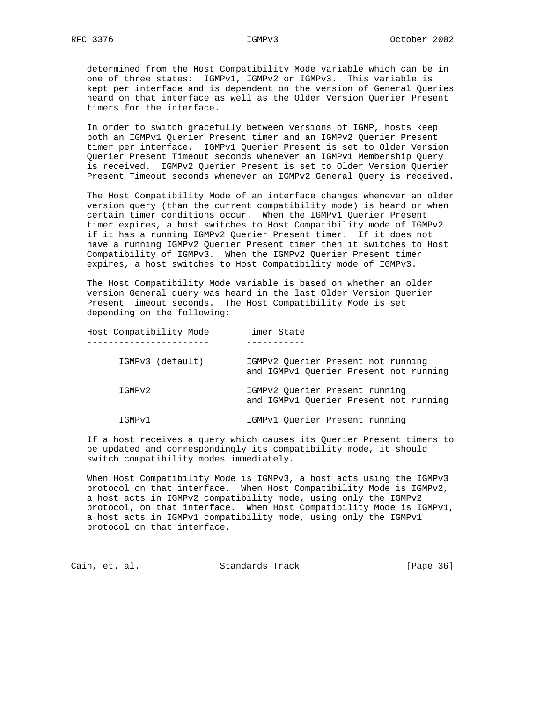determined from the Host Compatibility Mode variable which can be in one of three states: IGMPv1, IGMPv2 or IGMPv3. This variable is kept per interface and is dependent on the version of General Queries heard on that interface as well as the Older Version Querier Present timers for the interface.

 In order to switch gracefully between versions of IGMP, hosts keep both an IGMPv1 Querier Present timer and an IGMPv2 Querier Present timer per interface. IGMPv1 Querier Present is set to Older Version Querier Present Timeout seconds whenever an IGMPv1 Membership Query is received. IGMPv2 Querier Present is set to Older Version Querier Present Timeout seconds whenever an IGMPv2 General Query is received.

 The Host Compatibility Mode of an interface changes whenever an older version query (than the current compatibility mode) is heard or when certain timer conditions occur. When the IGMPv1 Querier Present timer expires, a host switches to Host Compatibility mode of IGMPv2 if it has a running IGMPv2 Querier Present timer. If it does not have a running IGMPv2 Querier Present timer then it switches to Host Compatibility of IGMPv3. When the IGMPv2 Querier Present timer expires, a host switches to Host Compatibility mode of IGMPv3.

 The Host Compatibility Mode variable is based on whether an older version General query was heard in the last Older Version Querier Present Timeout seconds. The Host Compatibility Mode is set depending on the following:

| Host Compatibility Mode | Timer State                                                                  |  |
|-------------------------|------------------------------------------------------------------------------|--|
| IGMPv3 (default)        | IGMPv2 Ouerier Present not running<br>and IGMPv1 Querier Present not running |  |
| IGMPv2                  | IGMPv2 Querier Present running<br>and IGMPv1 Ouerier Present not running     |  |
| IGMPv1                  | IGMPv1 Ouerier Present running                                               |  |

 If a host receives a query which causes its Querier Present timers to be updated and correspondingly its compatibility mode, it should switch compatibility modes immediately.

 When Host Compatibility Mode is IGMPv3, a host acts using the IGMPv3 protocol on that interface. When Host Compatibility Mode is IGMPv2, a host acts in IGMPv2 compatibility mode, using only the IGMPv2 protocol, on that interface. When Host Compatibility Mode is IGMPv1, a host acts in IGMPv1 compatibility mode, using only the IGMPv1 protocol on that interface.

Cain, et. al. Standards Track [Page 36]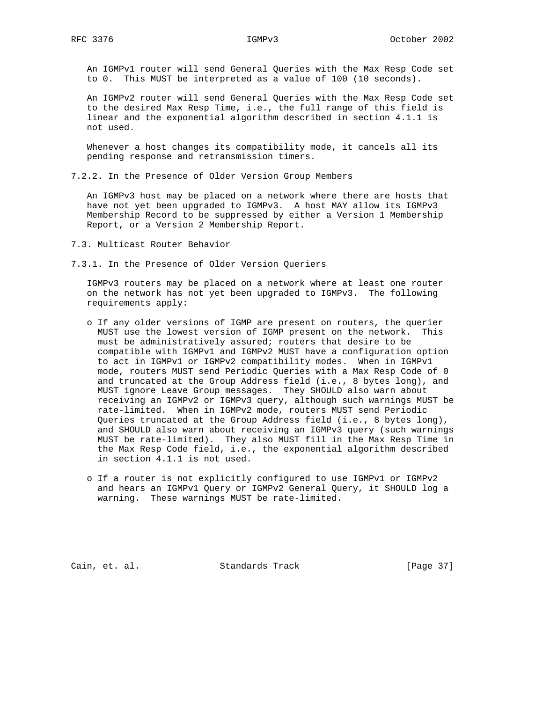An IGMPv1 router will send General Queries with the Max Resp Code set to 0. This MUST be interpreted as a value of 100 (10 seconds).

 An IGMPv2 router will send General Queries with the Max Resp Code set to the desired Max Resp Time, i.e., the full range of this field is linear and the exponential algorithm described in section 4.1.1 is not used.

 Whenever a host changes its compatibility mode, it cancels all its pending response and retransmission timers.

7.2.2. In the Presence of Older Version Group Members

 An IGMPv3 host may be placed on a network where there are hosts that have not yet been upgraded to IGMPv3. A host MAY allow its IGMPv3 Membership Record to be suppressed by either a Version 1 Membership Report, or a Version 2 Membership Report.

- 7.3. Multicast Router Behavior
- 7.3.1. In the Presence of Older Version Queriers

 IGMPv3 routers may be placed on a network where at least one router on the network has not yet been upgraded to IGMPv3. The following requirements apply:

- o If any older versions of IGMP are present on routers, the querier MUST use the lowest version of IGMP present on the network. This must be administratively assured; routers that desire to be compatible with IGMPv1 and IGMPv2 MUST have a configuration option to act in IGMPv1 or IGMPv2 compatibility modes. When in IGMPv1 mode, routers MUST send Periodic Queries with a Max Resp Code of 0 and truncated at the Group Address field (i.e., 8 bytes long), and MUST ignore Leave Group messages. They SHOULD also warn about receiving an IGMPv2 or IGMPv3 query, although such warnings MUST be rate-limited. When in IGMPv2 mode, routers MUST send Periodic Queries truncated at the Group Address field (i.e., 8 bytes long), and SHOULD also warn about receiving an IGMPv3 query (such warnings MUST be rate-limited). They also MUST fill in the Max Resp Time in the Max Resp Code field, i.e., the exponential algorithm described in section 4.1.1 is not used.
- o If a router is not explicitly configured to use IGMPv1 or IGMPv2 and hears an IGMPv1 Query or IGMPv2 General Query, it SHOULD log a warning. These warnings MUST be rate-limited.

Cain, et. al. Standards Track [Page 37]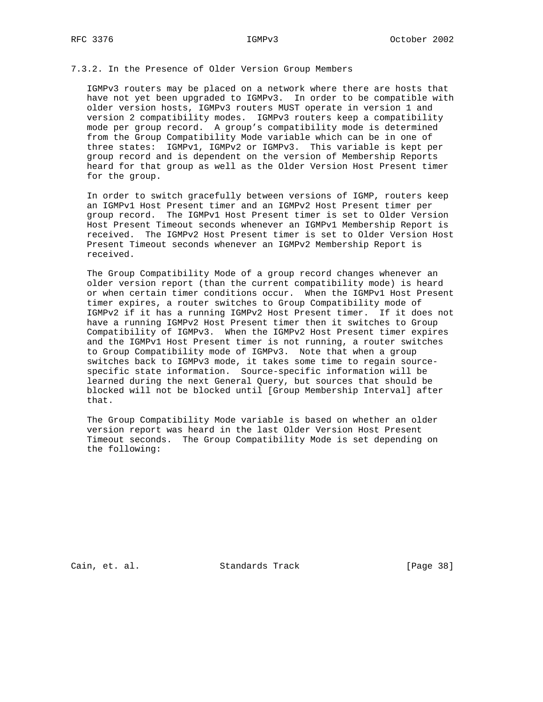# 7.3.2. In the Presence of Older Version Group Members

 IGMPv3 routers may be placed on a network where there are hosts that have not yet been upgraded to IGMPv3. In order to be compatible with older version hosts, IGMPv3 routers MUST operate in version 1 and version 2 compatibility modes. IGMPv3 routers keep a compatibility mode per group record. A group's compatibility mode is determined from the Group Compatibility Mode variable which can be in one of three states: IGMPv1, IGMPv2 or IGMPv3. This variable is kept per group record and is dependent on the version of Membership Reports heard for that group as well as the Older Version Host Present timer for the group.

 In order to switch gracefully between versions of IGMP, routers keep an IGMPv1 Host Present timer and an IGMPv2 Host Present timer per group record. The IGMPv1 Host Present timer is set to Older Version Host Present Timeout seconds whenever an IGMPv1 Membership Report is received. The IGMPv2 Host Present timer is set to Older Version Host Present Timeout seconds whenever an IGMPv2 Membership Report is received.

 The Group Compatibility Mode of a group record changes whenever an older version report (than the current compatibility mode) is heard or when certain timer conditions occur. When the IGMPv1 Host Present timer expires, a router switches to Group Compatibility mode of IGMPv2 if it has a running IGMPv2 Host Present timer. If it does not have a running IGMPv2 Host Present timer then it switches to Group Compatibility of IGMPv3. When the IGMPv2 Host Present timer expires and the IGMPv1 Host Present timer is not running, a router switches to Group Compatibility mode of IGMPv3. Note that when a group switches back to IGMPv3 mode, it takes some time to regain source specific state information. Source-specific information will be learned during the next General Query, but sources that should be blocked will not be blocked until [Group Membership Interval] after that.

 The Group Compatibility Mode variable is based on whether an older version report was heard in the last Older Version Host Present Timeout seconds. The Group Compatibility Mode is set depending on the following:

Cain, et. al. Standards Track [Page 38]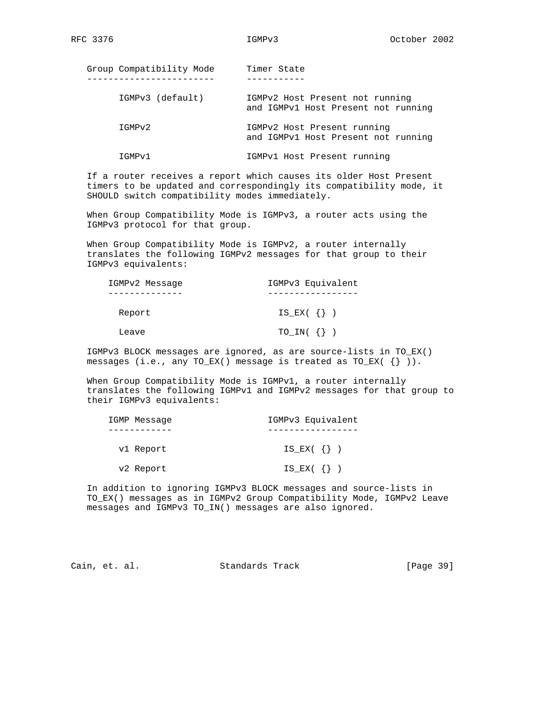| Group Compatibility Mode | Timer State                                                            |
|--------------------------|------------------------------------------------------------------------|
| IGMPv3 (default)         | IGMPv2 Host Present not running<br>and IGMPv1 Host Present not running |
| IGMPv2                   | IGMPv2 Host Present running<br>and IGMPv1 Host Present not running     |
| IGMPv1                   | IGMPv1 Host Present running                                            |

 If a router receives a report which causes its older Host Present timers to be updated and correspondingly its compatibility mode, it SHOULD switch compatibility modes immediately.

 When Group Compatibility Mode is IGMPv3, a router acts using the IGMPv3 protocol for that group.

 When Group Compatibility Mode is IGMPv2, a router internally translates the following IGMPv2 messages for that group to their IGMPv3 equivalents:

| IGMPv2 Message | IGMPv3 Equivalent    |
|----------------|----------------------|
|                |                      |
| Report         | $IS$ $EX$ ( $\{\}$ ) |
| Leave          | $TO_IN($ {} $)$      |

 IGMPv3 BLOCK messages are ignored, as are source-lists in TO\_EX() messages (i.e., any TO\_EX() message is treated as TO\_EX( $\{\}\)$ ).

 When Group Compatibility Mode is IGMPv1, a router internally translates the following IGMPv1 and IGMPv2 messages for that group to their IGMPv3 equivalents:

| IGMP Message | IGMPv3 Equivalent |
|--------------|-------------------|
|              |                   |
| v1 Report    | $IS$ $EX$ ( {})   |
| v2 Report    | $IS\_EX($ {} )    |

 In addition to ignoring IGMPv3 BLOCK messages and source-lists in TO\_EX() messages as in IGMPv2 Group Compatibility Mode, IGMPv2 Leave messages and IGMPv3 TO\_IN() messages are also ignored.

Cain, et. al. Standards Track [Page 39]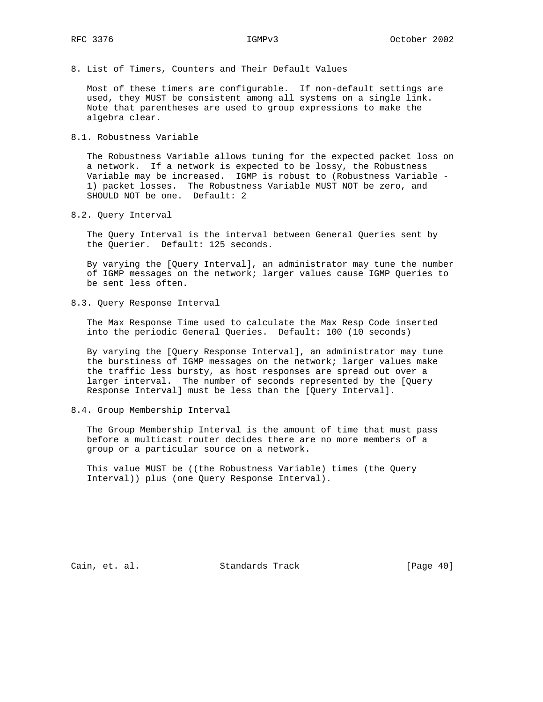8. List of Timers, Counters and Their Default Values

 Most of these timers are configurable. If non-default settings are used, they MUST be consistent among all systems on a single link. Note that parentheses are used to group expressions to make the algebra clear.

8.1. Robustness Variable

 The Robustness Variable allows tuning for the expected packet loss on a network. If a network is expected to be lossy, the Robustness Variable may be increased. IGMP is robust to (Robustness Variable - 1) packet losses. The Robustness Variable MUST NOT be zero, and SHOULD NOT be one. Default: 2

8.2. Query Interval

 The Query Interval is the interval between General Queries sent by the Querier. Default: 125 seconds.

 By varying the [Query Interval], an administrator may tune the number of IGMP messages on the network; larger values cause IGMP Queries to be sent less often.

8.3. Query Response Interval

 The Max Response Time used to calculate the Max Resp Code inserted into the periodic General Queries. Default: 100 (10 seconds)

 By varying the [Query Response Interval], an administrator may tune the burstiness of IGMP messages on the network; larger values make the traffic less bursty, as host responses are spread out over a larger interval. The number of seconds represented by the [Query Response Interval] must be less than the [Query Interval].

8.4. Group Membership Interval

 The Group Membership Interval is the amount of time that must pass before a multicast router decides there are no more members of a group or a particular source on a network.

 This value MUST be ((the Robustness Variable) times (the Query Interval)) plus (one Query Response Interval).

Cain, et. al. Standards Track [Page 40]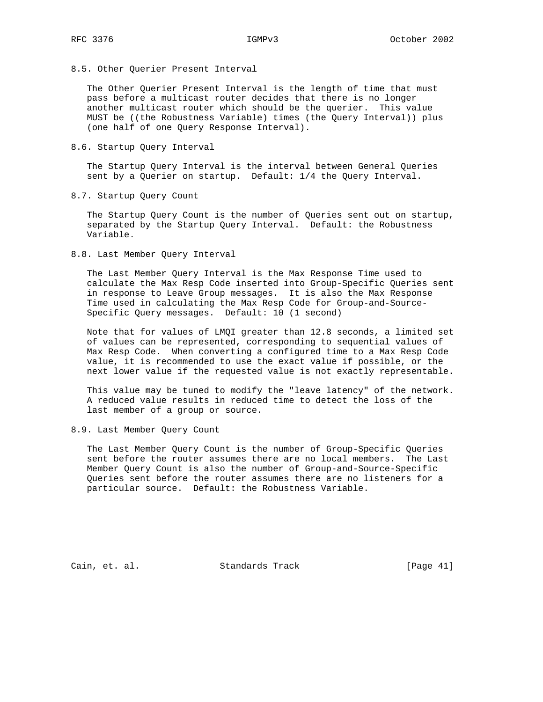8.5. Other Querier Present Interval

 The Other Querier Present Interval is the length of time that must pass before a multicast router decides that there is no longer another multicast router which should be the querier. This value MUST be ((the Robustness Variable) times (the Query Interval)) plus (one half of one Query Response Interval).

8.6. Startup Query Interval

 The Startup Query Interval is the interval between General Queries sent by a Querier on startup. Default: 1/4 the Query Interval.

8.7. Startup Query Count

 The Startup Query Count is the number of Queries sent out on startup, separated by the Startup Query Interval. Default: the Robustness Variable.

8.8. Last Member Query Interval

 The Last Member Query Interval is the Max Response Time used to calculate the Max Resp Code inserted into Group-Specific Queries sent in response to Leave Group messages. It is also the Max Response Time used in calculating the Max Resp Code for Group-and-Source- Specific Query messages. Default: 10 (1 second)

 Note that for values of LMQI greater than 12.8 seconds, a limited set of values can be represented, corresponding to sequential values of Max Resp Code. When converting a configured time to a Max Resp Code value, it is recommended to use the exact value if possible, or the next lower value if the requested value is not exactly representable.

 This value may be tuned to modify the "leave latency" of the network. A reduced value results in reduced time to detect the loss of the last member of a group or source.

8.9. Last Member Query Count

 The Last Member Query Count is the number of Group-Specific Queries sent before the router assumes there are no local members. The Last Member Query Count is also the number of Group-and-Source-Specific Queries sent before the router assumes there are no listeners for a particular source. Default: the Robustness Variable.

Cain, et. al. Standards Track [Page 41]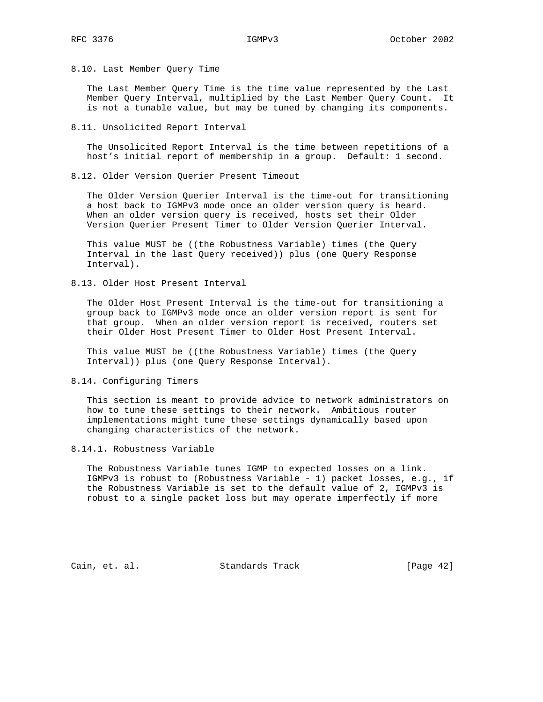### 8.10. Last Member Query Time

 The Last Member Query Time is the time value represented by the Last Member Query Interval, multiplied by the Last Member Query Count. It is not a tunable value, but may be tuned by changing its components.

8.11. Unsolicited Report Interval

 The Unsolicited Report Interval is the time between repetitions of a host's initial report of membership in a group. Default: 1 second.

8.12. Older Version Querier Present Timeout

 The Older Version Querier Interval is the time-out for transitioning a host back to IGMPv3 mode once an older version query is heard. When an older version query is received, hosts set their Older Version Querier Present Timer to Older Version Querier Interval.

 This value MUST be ((the Robustness Variable) times (the Query Interval in the last Query received)) plus (one Query Response Interval).

8.13. Older Host Present Interval

 The Older Host Present Interval is the time-out for transitioning a group back to IGMPv3 mode once an older version report is sent for that group. When an older version report is received, routers set their Older Host Present Timer to Older Host Present Interval.

 This value MUST be ((the Robustness Variable) times (the Query Interval)) plus (one Query Response Interval).

8.14. Configuring Timers

 This section is meant to provide advice to network administrators on how to tune these settings to their network. Ambitious router implementations might tune these settings dynamically based upon changing characteristics of the network.

8.14.1. Robustness Variable

 The Robustness Variable tunes IGMP to expected losses on a link. IGMPv3 is robust to (Robustness Variable - 1) packet losses, e.g., if the Robustness Variable is set to the default value of 2, IGMPv3 is robust to a single packet loss but may operate imperfectly if more

Cain, et. al. Standards Track [Page 42]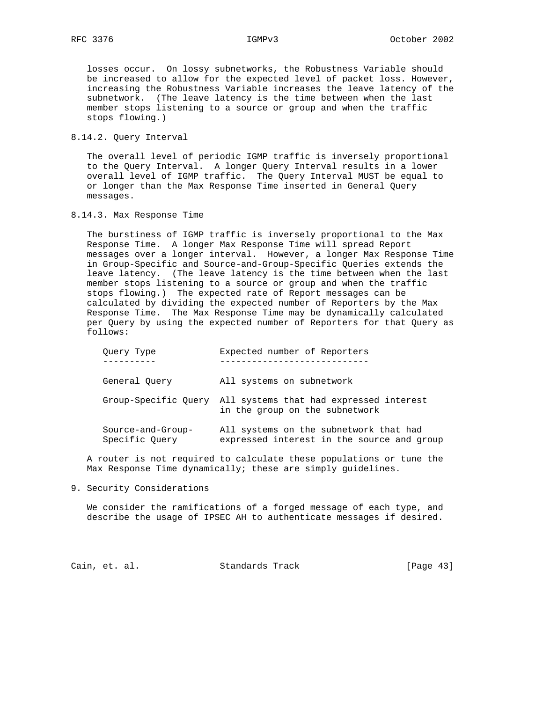losses occur. On lossy subnetworks, the Robustness Variable should be increased to allow for the expected level of packet loss. However, increasing the Robustness Variable increases the leave latency of the subnetwork. (The leave latency is the time between when the last member stops listening to a source or group and when the traffic stops flowing.)

8.14.2. Query Interval

 The overall level of periodic IGMP traffic is inversely proportional to the Query Interval. A longer Query Interval results in a lower overall level of IGMP traffic. The Query Interval MUST be equal to or longer than the Max Response Time inserted in General Query messages.

8.14.3. Max Response Time

 The burstiness of IGMP traffic is inversely proportional to the Max Response Time. A longer Max Response Time will spread Report messages over a longer interval. However, a longer Max Response Time in Group-Specific and Source-and-Group-Specific Queries extends the leave latency. (The leave latency is the time between when the last member stops listening to a source or group and when the traffic stops flowing.) The expected rate of Report messages can be calculated by dividing the expected number of Reporters by the Max Response Time. The Max Response Time may be dynamically calculated per Query by using the expected number of Reporters for that Query as follows:

| Ouery Type                          | Expected number of Reporters                                                                   |
|-------------------------------------|------------------------------------------------------------------------------------------------|
| General Ouery                       | All systems on subnetwork                                                                      |
|                                     | Group-Specific Ouery All systems that had expressed interest<br>in the group on the subnetwork |
| Source-and-Group-<br>Specific Query | All systems on the subnetwork that had<br>expressed interest in the source and group           |

 A router is not required to calculate these populations or tune the Max Response Time dynamically; these are simply guidelines.

9. Security Considerations

 We consider the ramifications of a forged message of each type, and describe the usage of IPSEC AH to authenticate messages if desired.

Cain, et. al. Standards Track [Page 43]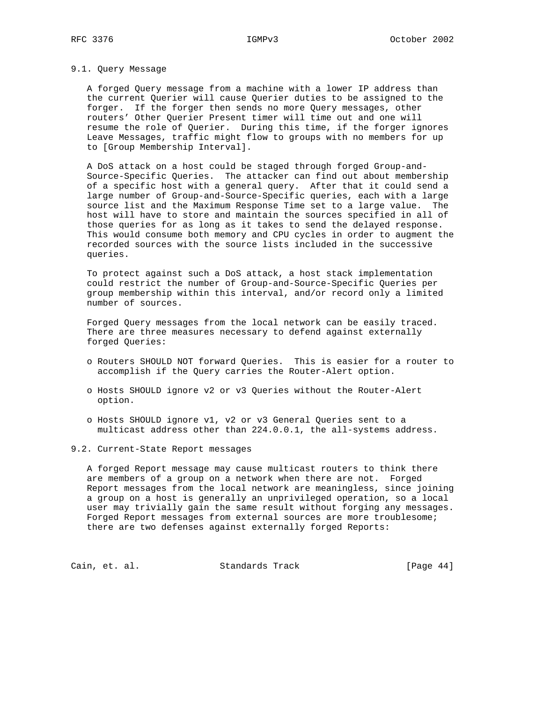## 9.1. Query Message

 A forged Query message from a machine with a lower IP address than the current Querier will cause Querier duties to be assigned to the forger. If the forger then sends no more Query messages, other routers' Other Querier Present timer will time out and one will resume the role of Querier. During this time, if the forger ignores Leave Messages, traffic might flow to groups with no members for up to [Group Membership Interval].

 A DoS attack on a host could be staged through forged Group-and- Source-Specific Queries. The attacker can find out about membership of a specific host with a general query. After that it could send a large number of Group-and-Source-Specific queries, each with a large source list and the Maximum Response Time set to a large value. The host will have to store and maintain the sources specified in all of those queries for as long as it takes to send the delayed response. This would consume both memory and CPU cycles in order to augment the recorded sources with the source lists included in the successive queries.

 To protect against such a DoS attack, a host stack implementation could restrict the number of Group-and-Source-Specific Queries per group membership within this interval, and/or record only a limited number of sources.

 Forged Query messages from the local network can be easily traced. There are three measures necessary to defend against externally forged Queries:

- o Routers SHOULD NOT forward Queries. This is easier for a router to accomplish if the Query carries the Router-Alert option.
- o Hosts SHOULD ignore v2 or v3 Queries without the Router-Alert option.
- o Hosts SHOULD ignore v1, v2 or v3 General Queries sent to a multicast address other than 224.0.0.1, the all-systems address.
- 9.2. Current-State Report messages

 A forged Report message may cause multicast routers to think there are members of a group on a network when there are not. Forged Report messages from the local network are meaningless, since joining a group on a host is generally an unprivileged operation, so a local user may trivially gain the same result without forging any messages. Forged Report messages from external sources are more troublesome; there are two defenses against externally forged Reports:

Cain, et. al. Standards Track [Page 44]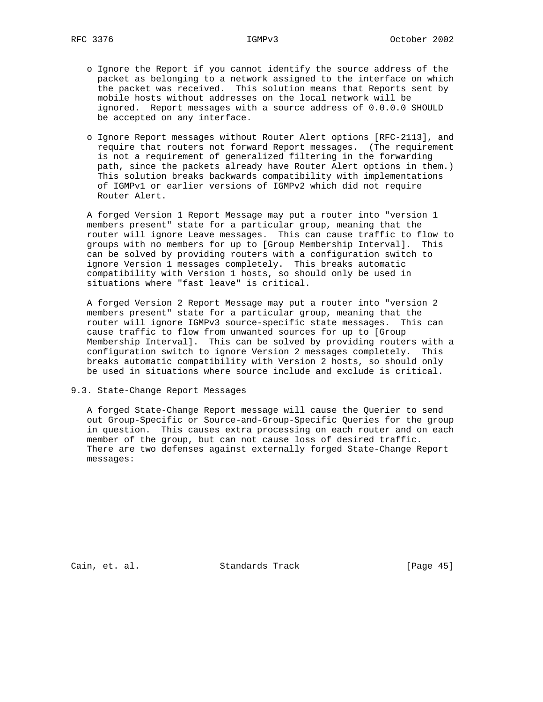- o Ignore the Report if you cannot identify the source address of the packet as belonging to a network assigned to the interface on which the packet was received. This solution means that Reports sent by mobile hosts without addresses on the local network will be ignored. Report messages with a source address of 0.0.0.0 SHOULD be accepted on any interface.
- o Ignore Report messages without Router Alert options [RFC-2113], and require that routers not forward Report messages. (The requirement is not a requirement of generalized filtering in the forwarding path, since the packets already have Router Alert options in them.) This solution breaks backwards compatibility with implementations of IGMPv1 or earlier versions of IGMPv2 which did not require Router Alert.

 A forged Version 1 Report Message may put a router into "version 1 members present" state for a particular group, meaning that the router will ignore Leave messages. This can cause traffic to flow to groups with no members for up to [Group Membership Interval]. This can be solved by providing routers with a configuration switch to ignore Version 1 messages completely. This breaks automatic compatibility with Version 1 hosts, so should only be used in situations where "fast leave" is critical.

 A forged Version 2 Report Message may put a router into "version 2 members present" state for a particular group, meaning that the router will ignore IGMPv3 source-specific state messages. This can cause traffic to flow from unwanted sources for up to [Group Membership Interval]. This can be solved by providing routers with a configuration switch to ignore Version 2 messages completely. This breaks automatic compatibility with Version 2 hosts, so should only be used in situations where source include and exclude is critical.

9.3. State-Change Report Messages

 A forged State-Change Report message will cause the Querier to send out Group-Specific or Source-and-Group-Specific Queries for the group in question. This causes extra processing on each router and on each member of the group, but can not cause loss of desired traffic. There are two defenses against externally forged State-Change Report messages:

Cain, et. al. Standards Track [Page 45]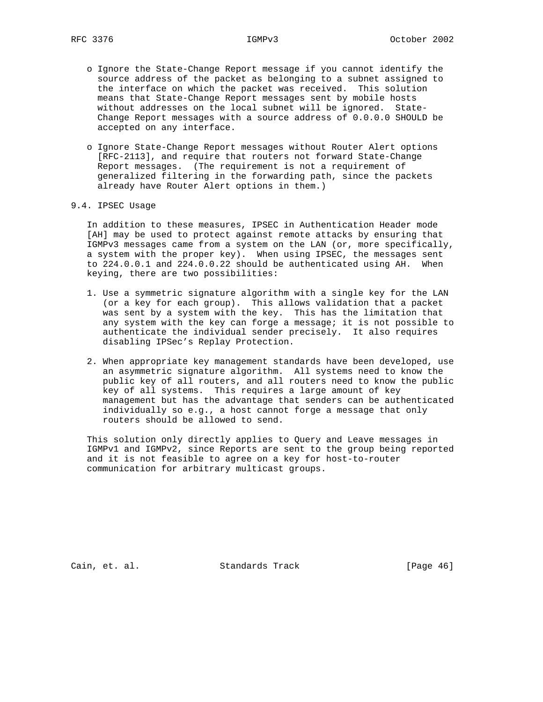- o Ignore the State-Change Report message if you cannot identify the source address of the packet as belonging to a subnet assigned to the interface on which the packet was received. This solution means that State-Change Report messages sent by mobile hosts without addresses on the local subnet will be ignored. State- Change Report messages with a source address of 0.0.0.0 SHOULD be accepted on any interface.
- o Ignore State-Change Report messages without Router Alert options [RFC-2113], and require that routers not forward State-Change Report messages. (The requirement is not a requirement of generalized filtering in the forwarding path, since the packets already have Router Alert options in them.)

### 9.4. IPSEC Usage

 In addition to these measures, IPSEC in Authentication Header mode [AH] may be used to protect against remote attacks by ensuring that IGMPv3 messages came from a system on the LAN (or, more specifically, a system with the proper key). When using IPSEC, the messages sent to 224.0.0.1 and 224.0.0.22 should be authenticated using AH. When keying, there are two possibilities:

- 1. Use a symmetric signature algorithm with a single key for the LAN (or a key for each group). This allows validation that a packet was sent by a system with the key. This has the limitation that any system with the key can forge a message; it is not possible to authenticate the individual sender precisely. It also requires disabling IPSec's Replay Protection.
- 2. When appropriate key management standards have been developed, use an asymmetric signature algorithm. All systems need to know the public key of all routers, and all routers need to know the public key of all systems. This requires a large amount of key management but has the advantage that senders can be authenticated individually so e.g., a host cannot forge a message that only routers should be allowed to send.

 This solution only directly applies to Query and Leave messages in IGMPv1 and IGMPv2, since Reports are sent to the group being reported and it is not feasible to agree on a key for host-to-router communication for arbitrary multicast groups.

Cain, et. al. Standards Track [Page 46]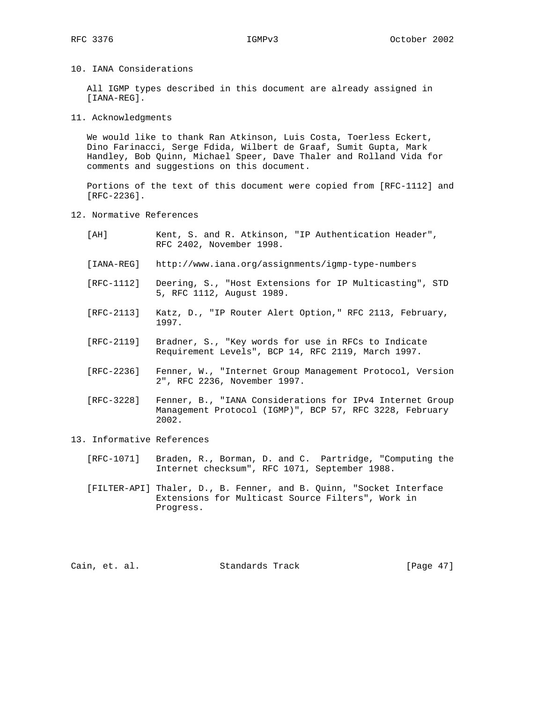10. IANA Considerations

 All IGMP types described in this document are already assigned in [IANA-REG].

11. Acknowledgments

 We would like to thank Ran Atkinson, Luis Costa, Toerless Eckert, Dino Farinacci, Serge Fdida, Wilbert de Graaf, Sumit Gupta, Mark Handley, Bob Quinn, Michael Speer, Dave Thaler and Rolland Vida for comments and suggestions on this document.

 Portions of the text of this document were copied from [RFC-1112] and [RFC-2236].

12. Normative References

| [AH] | Kent, S. and R. Atkinson, "IP Authentication Header",<br>RFC 2402, November 1998.               |
|------|-------------------------------------------------------------------------------------------------|
|      | [IANA-REG] http://www.iana.org/assignments/igmp-type-numbers                                    |
|      | [RFC-1112] Deering, S., "Host Extensions for IP Multicasting", STD<br>5, RFC 1112, August 1989. |

- [RFC-2113] Katz, D., "IP Router Alert Option," RFC 2113, February, 1997.
- [RFC-2119] Bradner, S., "Key words for use in RFCs to Indicate Requirement Levels", BCP 14, RFC 2119, March 1997.
- [RFC-2236] Fenner, W., "Internet Group Management Protocol, Version 2", RFC 2236, November 1997.
- [RFC-3228] Fenner, B., "IANA Considerations for IPv4 Internet Group Management Protocol (IGMP)", BCP 57, RFC 3228, February 2002.

## 13. Informative References

 [RFC-1071] Braden, R., Borman, D. and C. Partridge, "Computing the Internet checksum", RFC 1071, September 1988.

 [FILTER-API] Thaler, D., B. Fenner, and B. Quinn, "Socket Interface Extensions for Multicast Source Filters", Work in Progress.

Cain, et. al. Standards Track [Page 47]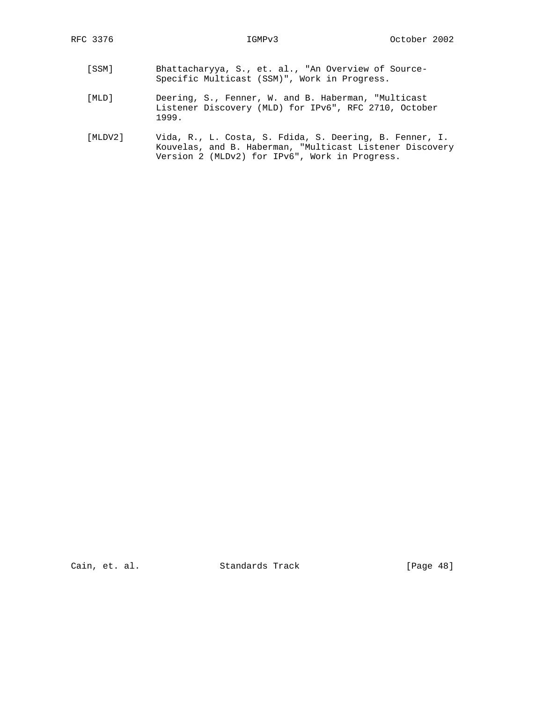- [SSM] Bhattacharyya, S., et. al., "An Overview of Source- Specific Multicast (SSM)", Work in Progress.
- [MLD] Deering, S., Fenner, W. and B. Haberman, "Multicast Listener Discovery (MLD) for IPv6", RFC 2710, October 1999.
- [MLDV2] Vida, R., L. Costa, S. Fdida, S. Deering, B. Fenner, I. Kouvelas, and B. Haberman, "Multicast Listener Discovery Version 2 (MLDv2) for IPv6", Work in Progress.

Cain, et. al. Standards Track [Page 48]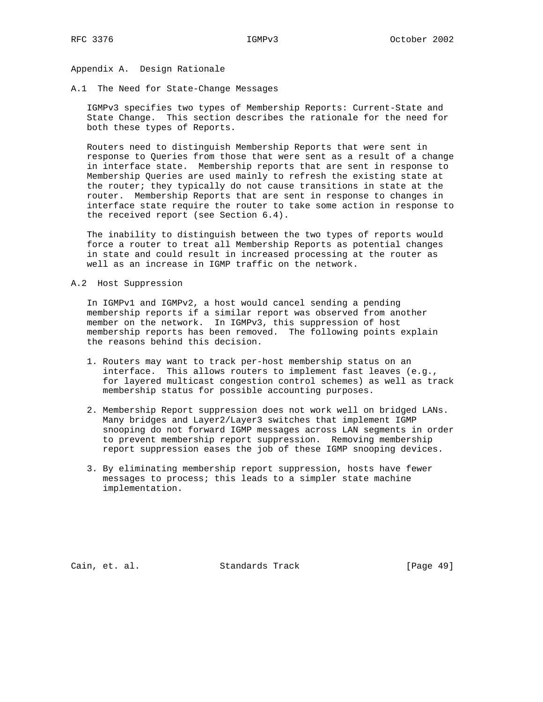Appendix A. Design Rationale

A.1 The Need for State-Change Messages

 IGMPv3 specifies two types of Membership Reports: Current-State and State Change. This section describes the rationale for the need for both these types of Reports.

 Routers need to distinguish Membership Reports that were sent in response to Queries from those that were sent as a result of a change in interface state. Membership reports that are sent in response to Membership Queries are used mainly to refresh the existing state at the router; they typically do not cause transitions in state at the router. Membership Reports that are sent in response to changes in interface state require the router to take some action in response to the received report (see Section 6.4).

 The inability to distinguish between the two types of reports would force a router to treat all Membership Reports as potential changes in state and could result in increased processing at the router as well as an increase in IGMP traffic on the network.

A.2 Host Suppression

 In IGMPv1 and IGMPv2, a host would cancel sending a pending membership reports if a similar report was observed from another member on the network. In IGMPv3, this suppression of host membership reports has been removed. The following points explain the reasons behind this decision.

- 1. Routers may want to track per-host membership status on an interface. This allows routers to implement fast leaves (e.g., for layered multicast congestion control schemes) as well as track membership status for possible accounting purposes.
- 2. Membership Report suppression does not work well on bridged LANs. Many bridges and Layer2/Layer3 switches that implement IGMP snooping do not forward IGMP messages across LAN segments in order to prevent membership report suppression. Removing membership report suppression eases the job of these IGMP snooping devices.
- 3. By eliminating membership report suppression, hosts have fewer messages to process; this leads to a simpler state machine implementation.

Cain, et. al. Standards Track [Page 49]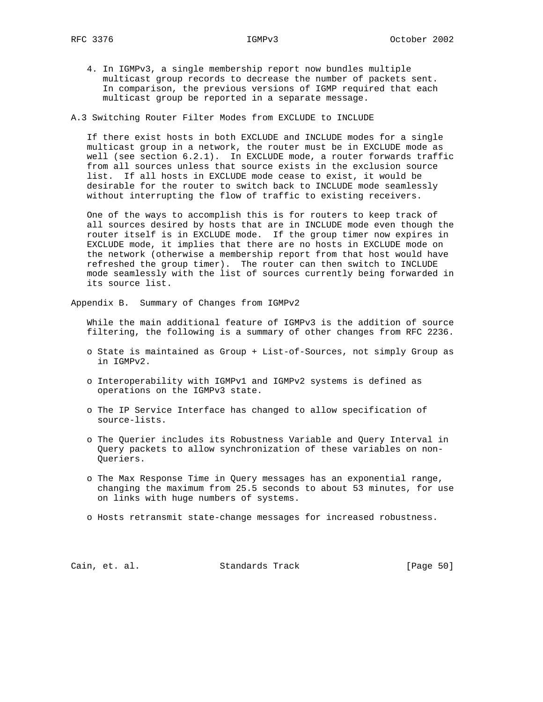4. In IGMPv3, a single membership report now bundles multiple multicast group records to decrease the number of packets sent. In comparison, the previous versions of IGMP required that each multicast group be reported in a separate message.

A.3 Switching Router Filter Modes from EXCLUDE to INCLUDE

 If there exist hosts in both EXCLUDE and INCLUDE modes for a single multicast group in a network, the router must be in EXCLUDE mode as well (see section 6.2.1). In EXCLUDE mode, a router forwards traffic from all sources unless that source exists in the exclusion source list. If all hosts in EXCLUDE mode cease to exist, it would be desirable for the router to switch back to INCLUDE mode seamlessly without interrupting the flow of traffic to existing receivers.

 One of the ways to accomplish this is for routers to keep track of all sources desired by hosts that are in INCLUDE mode even though the router itself is in EXCLUDE mode. If the group timer now expires in EXCLUDE mode, it implies that there are no hosts in EXCLUDE mode on the network (otherwise a membership report from that host would have refreshed the group timer). The router can then switch to INCLUDE mode seamlessly with the list of sources currently being forwarded in its source list.

Appendix B. Summary of Changes from IGMPv2

 While the main additional feature of IGMPv3 is the addition of source filtering, the following is a summary of other changes from RFC 2236.

- o State is maintained as Group + List-of-Sources, not simply Group as in IGMPv2.
- o Interoperability with IGMPv1 and IGMPv2 systems is defined as operations on the IGMPv3 state.
- o The IP Service Interface has changed to allow specification of source-lists.
- o The Querier includes its Robustness Variable and Query Interval in Query packets to allow synchronization of these variables on non- Queriers.
- o The Max Response Time in Query messages has an exponential range, changing the maximum from 25.5 seconds to about 53 minutes, for use on links with huge numbers of systems.
- o Hosts retransmit state-change messages for increased robustness.

Cain, et. al. Standards Track [Page 50]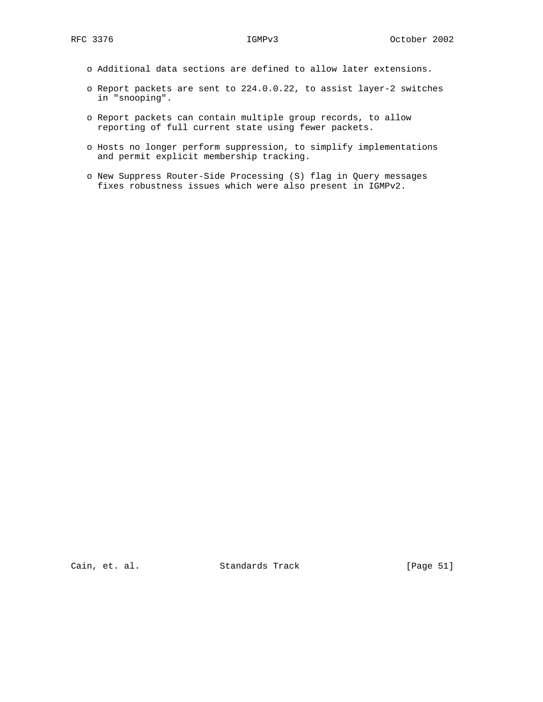- o Additional data sections are defined to allow later extensions.
- o Report packets are sent to 224.0.0.22, to assist layer-2 switches in "snooping".
- o Report packets can contain multiple group records, to allow reporting of full current state using fewer packets.
- o Hosts no longer perform suppression, to simplify implementations and permit explicit membership tracking.
- o New Suppress Router-Side Processing (S) flag in Query messages fixes robustness issues which were also present in IGMPv2.

Cain, et. al. Standards Track [Page 51]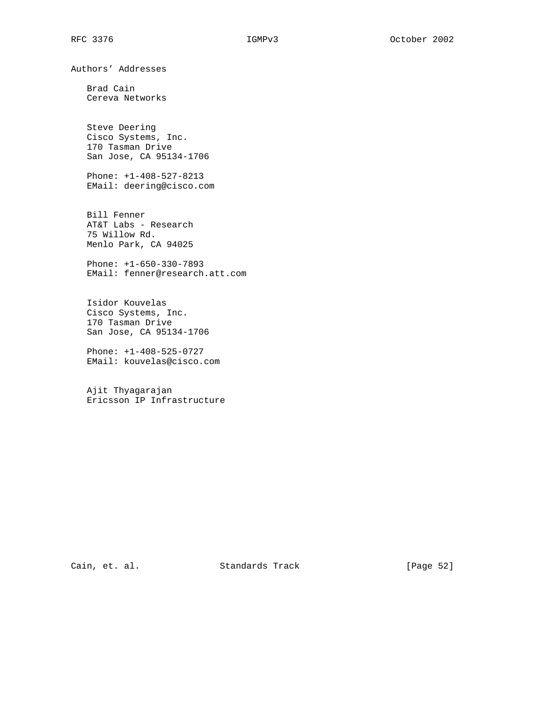Authors' Addresses

 Brad Cain Cereva Networks

 Steve Deering Cisco Systems, Inc. 170 Tasman Drive San Jose, CA 95134-1706

 Phone: +1-408-527-8213 EMail: deering@cisco.com

 Bill Fenner AT&T Labs - Research 75 Willow Rd. Menlo Park, CA 94025

 Phone: +1-650-330-7893 EMail: fenner@research.att.com

 Isidor Kouvelas Cisco Systems, Inc. 170 Tasman Drive San Jose, CA 95134-1706

 Phone: +1-408-525-0727 EMail: kouvelas@cisco.com

 Ajit Thyagarajan Ericsson IP Infrastructure

Cain, et. al. Standards Track [Page 52]